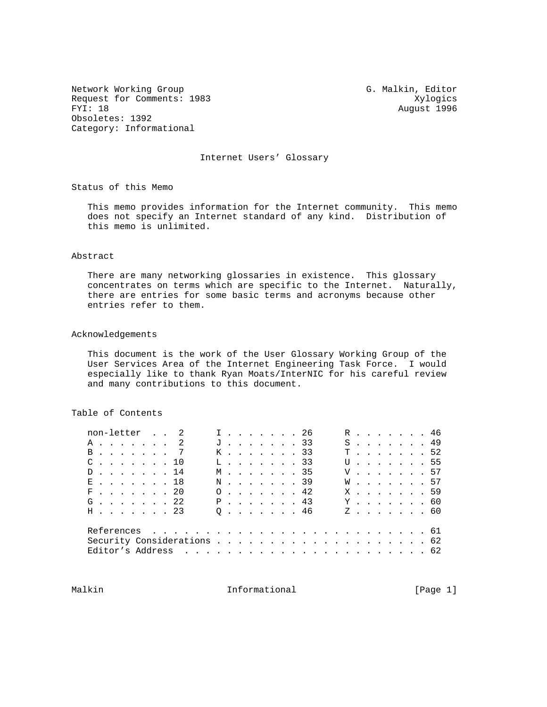Network Working Group G. Malkin, Editor Request for Comments: 1983<br>FYI: 18 August 1996 Obsoletes: 1392 Category: Informational

August 1996

# Internet Users' Glossary

Status of this Memo

 This memo provides information for the Internet community. This memo does not specify an Internet standard of any kind. Distribution of this memo is unlimited.

# Abstract

 There are many networking glossaries in existence. This glossary concentrates on terms which are specific to the Internet. Naturally, there are entries for some basic terms and acronyms because other entries refer to them.

# Acknowledgements

 This document is the work of the User Glossary Working Group of the User Services Area of the Internet Engineering Task Force. I would especially like to thank Ryan Moats/InterNIC for his careful review and many contributions to this document.

Table of Contents

| non-letter 2                         |  |  |  |  |  |  |  |  | I 26                                       |  |  |  |  | R. 46                                      |
|--------------------------------------|--|--|--|--|--|--|--|--|--------------------------------------------|--|--|--|--|--------------------------------------------|
| A 2                                  |  |  |  |  |  |  |  |  | $J \tldots \tldots \t33$                   |  |  |  |  | S. 49                                      |
| B. 7                                 |  |  |  |  |  |  |  |  | K33                                        |  |  |  |  | T 52                                       |
| $C \cdot \cdot \cdot \cdot \cdot 10$ |  |  |  |  |  |  |  |  | $L \tldots \tldots \t33$                   |  |  |  |  | $U$ . 55                                   |
| D14                                  |  |  |  |  |  |  |  |  | M. 35                                      |  |  |  |  | $V \cdot \cdot \cdot \cdot \cdot \cdot 57$ |
| $E$ 18                               |  |  |  |  |  |  |  |  | N. 39                                      |  |  |  |  | W. 57                                      |
|                                      |  |  |  |  |  |  |  |  | $0 \cdot \cdot \cdot \cdot \cdot 42$       |  |  |  |  | X 59                                       |
| G. 22                                |  |  |  |  |  |  |  |  | $P \cdot \cdot \cdot \cdot \cdot \cdot 43$ |  |  |  |  | $Y \cdot \cdot \cdot \cdot \cdot \cdot 60$ |
| H 23                                 |  |  |  |  |  |  |  |  | $Q \cdot \cdot \cdot \cdot \cdot \cdot 46$ |  |  |  |  | $Z$ 60                                     |
|                                      |  |  |  |  |  |  |  |  |                                            |  |  |  |  |                                            |
|                                      |  |  |  |  |  |  |  |  |                                            |  |  |  |  |                                            |
|                                      |  |  |  |  |  |  |  |  |                                            |  |  |  |  |                                            |

Malkin **Informational** Informational [Page 1]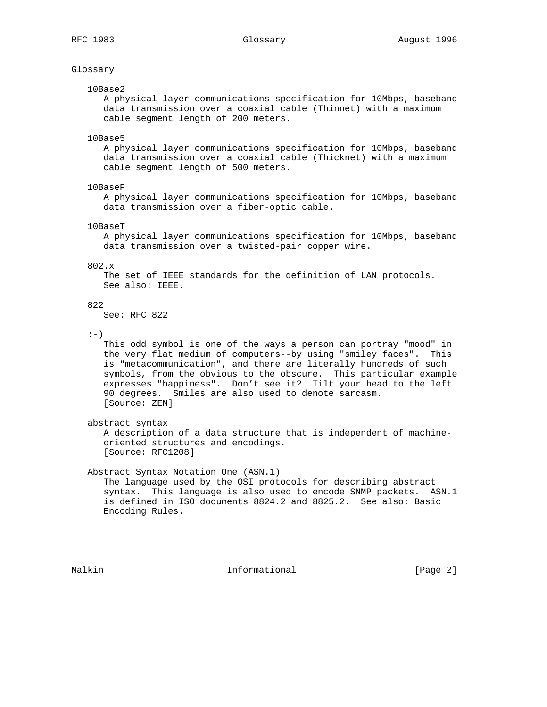# Glossary

### 10Base2

 A physical layer communications specification for 10Mbps, baseband data transmission over a coaxial cable (Thinnet) with a maximum cable segment length of 200 meters.

#### 10Base5

 A physical layer communications specification for 10Mbps, baseband data transmission over a coaxial cable (Thicknet) with a maximum cable segment length of 500 meters.

### 10BaseF

 A physical layer communications specification for 10Mbps, baseband data transmission over a fiber-optic cable.

# 10BaseT

 A physical layer communications specification for 10Mbps, baseband data transmission over a twisted-pair copper wire.

#### 802.x

 The set of IEEE standards for the definition of LAN protocols. See also: IEEE.

# 822

See: RFC 822

 $:-)$ 

 This odd symbol is one of the ways a person can portray "mood" in the very flat medium of computers--by using "smiley faces". This is "metacommunication", and there are literally hundreds of such symbols, from the obvious to the obscure. This particular example expresses "happiness". Don't see it? Tilt your head to the left 90 degrees. Smiles are also used to denote sarcasm. [Source: ZEN]

abstract syntax

 A description of a data structure that is independent of machine oriented structures and encodings. [Source: RFC1208]

# Abstract Syntax Notation One (ASN.1)

 The language used by the OSI protocols for describing abstract syntax. This language is also used to encode SNMP packets. ASN.1 is defined in ISO documents 8824.2 and 8825.2. See also: Basic Encoding Rules.

Malkin **Informational** Informational [Page 2]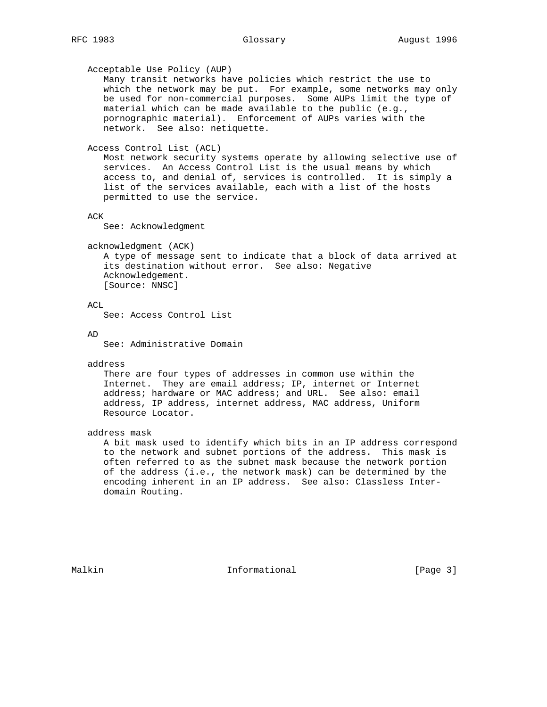```
 Acceptable Use Policy (AUP)
    Many transit networks have policies which restrict the use to
    which the network may be put. For example, some networks may only
    be used for non-commercial purposes. Some AUPs limit the type of
    material which can be made available to the public (e.g.,
    pornographic material). Enforcement of AUPs varies with the
    network. See also: netiquette.
 Access Control List (ACL)
    Most network security systems operate by allowing selective use of
    services. An Access Control List is the usual means by which
    access to, and denial of, services is controlled. It is simply a
    list of the services available, each with a list of the hosts
    permitted to use the service.
 ACK
   See: Acknowledgment
 acknowledgment (ACK)
    A type of message sent to indicate that a block of data arrived at
    its destination without error. See also: Negative
    Acknowledgement.
    [Source: NNSC]
\DeltaCT.
    See: Access Control List
 AD
    See: Administrative Domain
 address
   There are four types of addresses in common use within the
    Internet. They are email address; IP, internet or Internet
    address; hardware or MAC address; and URL. See also: email
    address, IP address, internet address, MAC address, Uniform
    Resource Locator.
 address mask
    A bit mask used to identify which bits in an IP address correspond
    to the network and subnet portions of the address. This mask is
    often referred to as the subnet mask because the network portion
    of the address (i.e., the network mask) can be determined by the
    encoding inherent in an IP address. See also: Classless Inter-
    domain Routing.
```
Malkin **Informational Informational** [Page 3]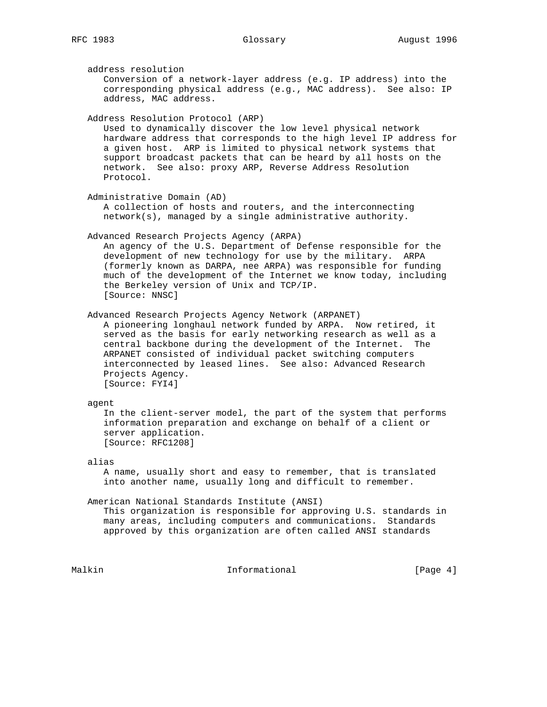address resolution Conversion of a network-layer address (e.g. IP address) into the corresponding physical address (e.g., MAC address). See also: IP address, MAC address. Address Resolution Protocol (ARP) Used to dynamically discover the low level physical network hardware address that corresponds to the high level IP address for a given host. ARP is limited to physical network systems that support broadcast packets that can be heard by all hosts on the network. See also: proxy ARP, Reverse Address Resolution Protocol. Administrative Domain (AD) A collection of hosts and routers, and the interconnecting network(s), managed by a single administrative authority. Advanced Research Projects Agency (ARPA) An agency of the U.S. Department of Defense responsible for the development of new technology for use by the military. ARPA (formerly known as DARPA, nee ARPA) was responsible for funding much of the development of the Internet we know today, including the Berkeley version of Unix and TCP/IP. [Source: NNSC] Advanced Research Projects Agency Network (ARPANET) A pioneering longhaul network funded by ARPA. Now retired, it served as the basis for early networking research as well as a central backbone during the development of the Internet. The ARPANET consisted of individual packet switching computers interconnected by leased lines. See also: Advanced Research Projects Agency. [Source: FYI4] agent In the client-server model, the part of the system that performs information preparation and exchange on behalf of a client or server application. [Source: RFC1208] alias A name, usually short and easy to remember, that is translated into another name, usually long and difficult to remember.

# American National Standards Institute (ANSI)

 This organization is responsible for approving U.S. standards in many areas, including computers and communications. Standards approved by this organization are often called ANSI standards

Malkin **Informational Informational** [Page 4]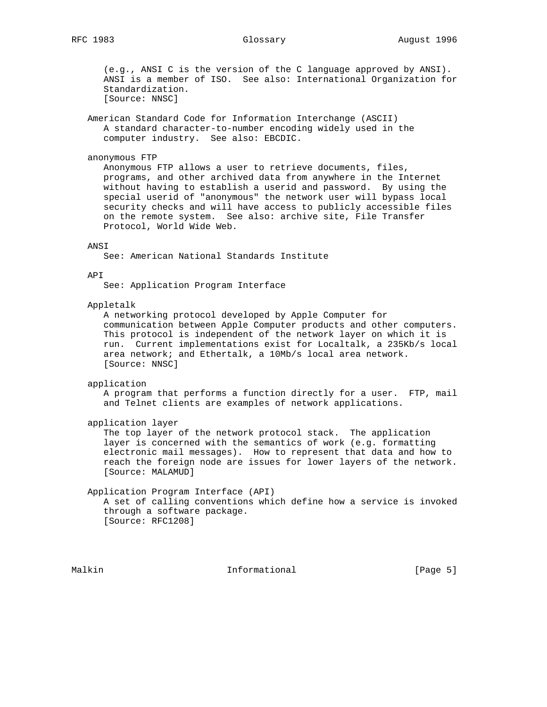(e.g., ANSI C is the version of the C language approved by ANSI). ANSI is a member of ISO. See also: International Organization for Standardization. [Source: NNSC]

 American Standard Code for Information Interchange (ASCII) A standard character-to-number encoding widely used in the computer industry. See also: EBCDIC.

anonymous FTP

 Anonymous FTP allows a user to retrieve documents, files, programs, and other archived data from anywhere in the Internet without having to establish a userid and password. By using the special userid of "anonymous" the network user will bypass local security checks and will have access to publicly accessible files on the remote system. See also: archive site, File Transfer Protocol, World Wide Web.

# ANSI

See: American National Standards Institute

# API

See: Application Program Interface

# Appletalk

 A networking protocol developed by Apple Computer for communication between Apple Computer products and other computers. This protocol is independent of the network layer on which it is run. Current implementations exist for Localtalk, a 235Kb/s local area network; and Ethertalk, a 10Mb/s local area network. [Source: NNSC]

### application

 A program that performs a function directly for a user. FTP, mail and Telnet clients are examples of network applications.

application layer

 The top layer of the network protocol stack. The application layer is concerned with the semantics of work (e.g. formatting electronic mail messages). How to represent that data and how to reach the foreign node are issues for lower layers of the network. [Source: MALAMUD]

 Application Program Interface (API) A set of calling conventions which define how a service is invoked through a software package. [Source: RFC1208]

Malkin **Informational** Informational **Informational** [Page 5]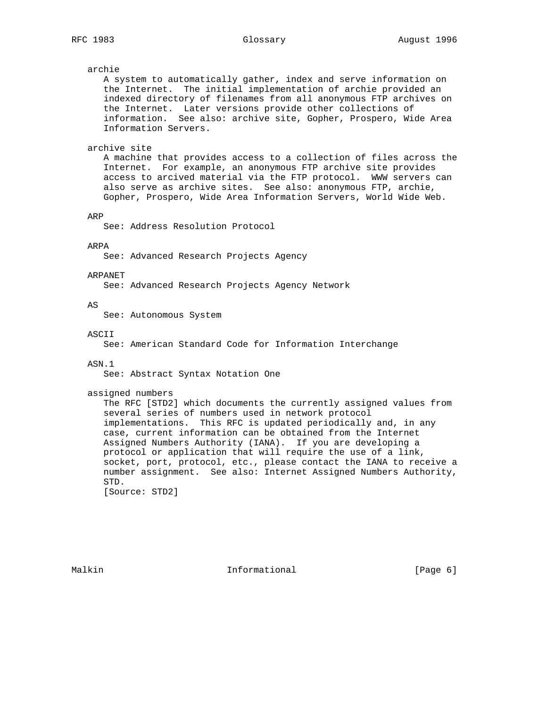# archie

 A system to automatically gather, index and serve information on the Internet. The initial implementation of archie provided an indexed directory of filenames from all anonymous FTP archives on the Internet. Later versions provide other collections of information. See also: archive site, Gopher, Prospero, Wide Area Information Servers.

### archive site

 A machine that provides access to a collection of files across the Internet. For example, an anonymous FTP archive site provides access to arcived material via the FTP protocol. WWW servers can also serve as archive sites. See also: anonymous FTP, archie, Gopher, Prospero, Wide Area Information Servers, World Wide Web.

ARP

See: Address Resolution Protocol

# ARPA

See: Advanced Research Projects Agency

# ARPANET

See: Advanced Research Projects Agency Network

AS

See: Autonomous System

# **ASCII**

See: American Standard Code for Information Interchange

# ASN.1

See: Abstract Syntax Notation One

# assigned numbers

 The RFC [STD2] which documents the currently assigned values from several series of numbers used in network protocol implementations. This RFC is updated periodically and, in any case, current information can be obtained from the Internet Assigned Numbers Authority (IANA). If you are developing a protocol or application that will require the use of a link, socket, port, protocol, etc., please contact the IANA to receive a number assignment. See also: Internet Assigned Numbers Authority, STD. [Source: STD2]

Malkin **Informational Informational** [Page 6]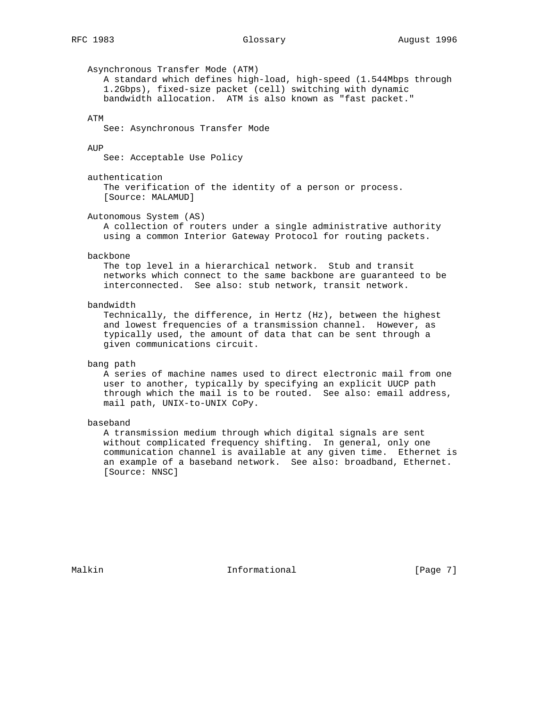Asynchronous Transfer Mode (ATM) A standard which defines high-load, high-speed (1.544Mbps through 1.2Gbps), fixed-size packet (cell) switching with dynamic bandwidth allocation. ATM is also known as "fast packet." ATM See: Asynchronous Transfer Mode **AUP**  See: Acceptable Use Policy authentication The verification of the identity of a person or process. [Source: MALAMUD] Autonomous System (AS) A collection of routers under a single administrative authority using a common Interior Gateway Protocol for routing packets. backbone The top level in a hierarchical network. Stub and transit networks which connect to the same backbone are guaranteed to be interconnected. See also: stub network, transit network. bandwidth Technically, the difference, in Hertz (Hz), between the highest and lowest frequencies of a transmission channel. However, as typically used, the amount of data that can be sent through a given communications circuit. bang path A series of machine names used to direct electronic mail from one user to another, typically by specifying an explicit UUCP path through which the mail is to be routed. See also: email address, mail path, UNIX-to-UNIX CoPy. baseband A transmission medium through which digital signals are sent without complicated frequency shifting. In general, only one communication channel is available at any given time. Ethernet is an example of a baseband network. See also: broadband, Ethernet.

[Source: NNSC]

Malkin **Informational Informational** [Page 7]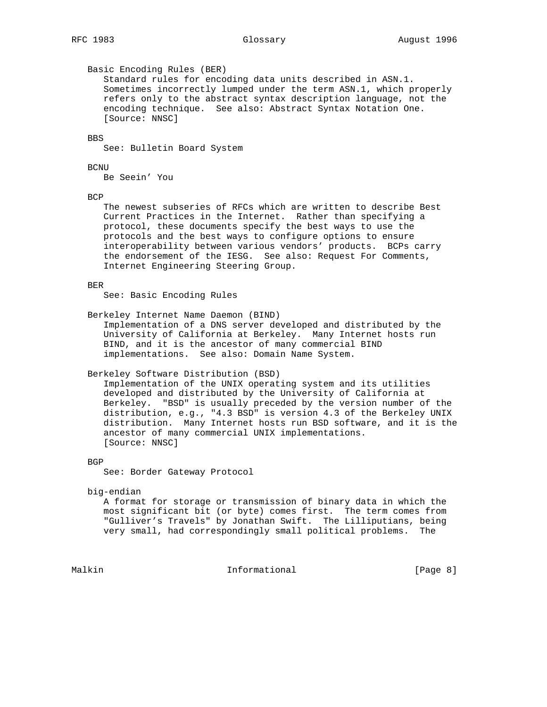Basic Encoding Rules (BER) Standard rules for encoding data units described in ASN.1. Sometimes incorrectly lumped under the term ASN.1, which properly refers only to the abstract syntax description language, not the encoding technique. See also: Abstract Syntax Notation One. [Source: NNSC] BBS See: Bulletin Board System BCNU Be Seein' You BCP The newest subseries of RFCs which are written to describe Best Current Practices in the Internet. Rather than specifying a protocol, these documents specify the best ways to use the protocols and the best ways to configure options to ensure interoperability between various vendors' products. BCPs carry the endorsement of the IESG. See also: Request For Comments, Internet Engineering Steering Group. BER See: Basic Encoding Rules Berkeley Internet Name Daemon (BIND) Implementation of a DNS server developed and distributed by the University of California at Berkeley. Many Internet hosts run BIND, and it is the ancestor of many commercial BIND implementations. See also: Domain Name System. Berkeley Software Distribution (BSD) Implementation of the UNIX operating system and its utilities developed and distributed by the University of California at Berkeley. "BSD" is usually preceded by the version number of the distribution, e.g., "4.3 BSD" is version 4.3 of the Berkeley UNIX distribution. Many Internet hosts run BSD software, and it is the ancestor of many commercial UNIX implementations. [Source: NNSC] BGP See: Border Gateway Protocol big-endian A format for storage or transmission of binary data in which the most significant bit (or byte) comes first. The term comes from "Gulliver's Travels" by Jonathan Swift. The Lilliputians, being very small, had correspondingly small political problems. The

Malkin **Informational** Informational **Informational** [Page 8]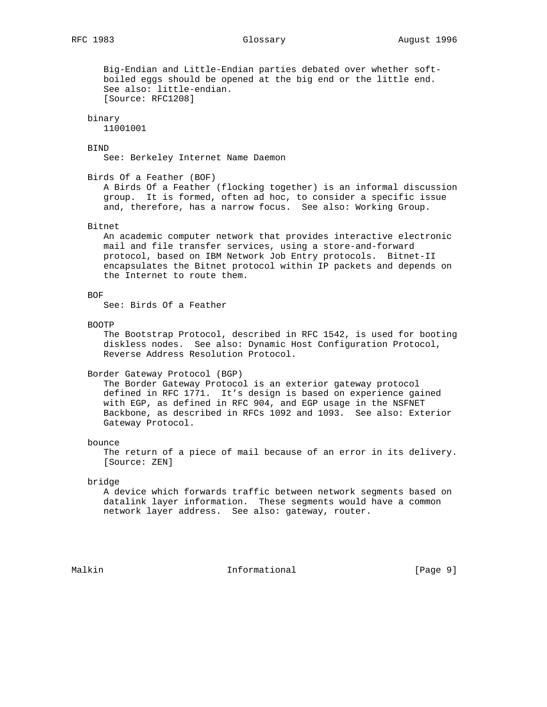Big-Endian and Little-Endian parties debated over whether soft boiled eggs should be opened at the big end or the little end. See also: little-endian. [Source: RFC1208] binary 11001001 BIND See: Berkeley Internet Name Daemon Birds Of a Feather (BOF) A Birds Of a Feather (flocking together) is an informal discussion group. It is formed, often ad hoc, to consider a specific issue and, therefore, has a narrow focus. See also: Working Group. Bitnet An academic computer network that provides interactive electronic mail and file transfer services, using a store-and-forward protocol, based on IBM Network Job Entry protocols. Bitnet-II encapsulates the Bitnet protocol within IP packets and depends on the Internet to route them. BOF See: Birds Of a Feather BOOTP The Bootstrap Protocol, described in RFC 1542, is used for booting diskless nodes. See also: Dynamic Host Configuration Protocol, Reverse Address Resolution Protocol. Border Gateway Protocol (BGP) The Border Gateway Protocol is an exterior gateway protocol defined in RFC 1771. It's design is based on experience gained with EGP, as defined in RFC 904, and EGP usage in the NSFNET Backbone, as described in RFCs 1092 and 1093. See also: Exterior Gateway Protocol. bounce The return of a piece of mail because of an error in its delivery. [Source: ZEN] bridge A device which forwards traffic between network segments based on datalink layer information. These segments would have a common network layer address. See also: gateway, router. Malkin **Informational Informational Informational** [Page 9]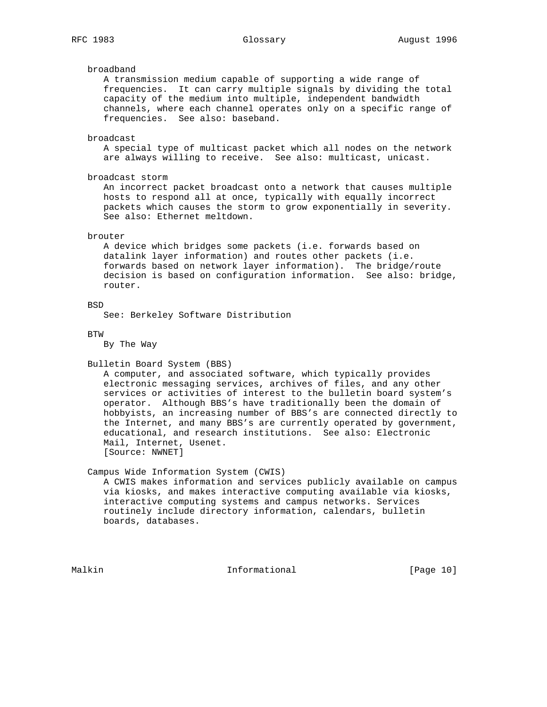# broadband

 A transmission medium capable of supporting a wide range of frequencies. It can carry multiple signals by dividing the total capacity of the medium into multiple, independent bandwidth channels, where each channel operates only on a specific range of frequencies. See also: baseband.

# broadcast

 A special type of multicast packet which all nodes on the network are always willing to receive. See also: multicast, unicast.

broadcast storm

 An incorrect packet broadcast onto a network that causes multiple hosts to respond all at once, typically with equally incorrect packets which causes the storm to grow exponentially in severity. See also: Ethernet meltdown.

# brouter

 A device which bridges some packets (i.e. forwards based on datalink layer information) and routes other packets (i.e. forwards based on network layer information). The bridge/route decision is based on configuration information. See also: bridge, router.

**BSD** 

See: Berkeley Software Distribution

BTW

By The Way

### Bulletin Board System (BBS)

 A computer, and associated software, which typically provides electronic messaging services, archives of files, and any other services or activities of interest to the bulletin board system's operator. Although BBS's have traditionally been the domain of hobbyists, an increasing number of BBS's are connected directly to the Internet, and many BBS's are currently operated by government, educational, and research institutions. See also: Electronic Mail, Internet, Usenet. [Source: NWNET]

# Campus Wide Information System (CWIS)

 A CWIS makes information and services publicly available on campus via kiosks, and makes interactive computing available via kiosks, interactive computing systems and campus networks. Services routinely include directory information, calendars, bulletin boards, databases.

Malkin **Informational Informational** [Page 10]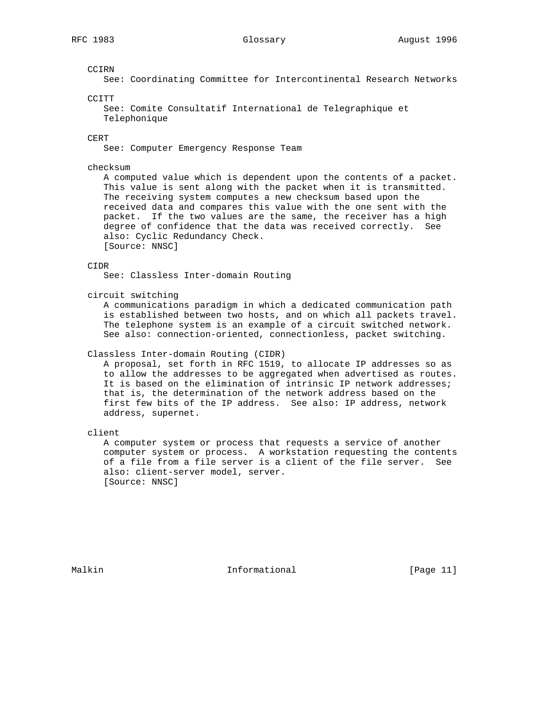# CCIRN

See: Coordinating Committee for Intercontinental Research Networks

CCITT

 See: Comite Consultatif International de Telegraphique et Telephonique

CERT

See: Computer Emergency Response Team

checksum

 A computed value which is dependent upon the contents of a packet. This value is sent along with the packet when it is transmitted. The receiving system computes a new checksum based upon the received data and compares this value with the one sent with the packet. If the two values are the same, the receiver has a high degree of confidence that the data was received correctly. See also: Cyclic Redundancy Check. [Source: NNSC]

#### CIDR

See: Classless Inter-domain Routing

circuit switching

 A communications paradigm in which a dedicated communication path is established between two hosts, and on which all packets travel. The telephone system is an example of a circuit switched network. See also: connection-oriented, connectionless, packet switching.

# Classless Inter-domain Routing (CIDR)

 A proposal, set forth in RFC 1519, to allocate IP addresses so as to allow the addresses to be aggregated when advertised as routes. It is based on the elimination of intrinsic IP network addresses; that is, the determination of the network address based on the first few bits of the IP address. See also: IP address, network address, supernet.

client

 A computer system or process that requests a service of another computer system or process. A workstation requesting the contents of a file from a file server is a client of the file server. See also: client-server model, server. [Source: NNSC]

Malkin **Informational Informational** [Page 11]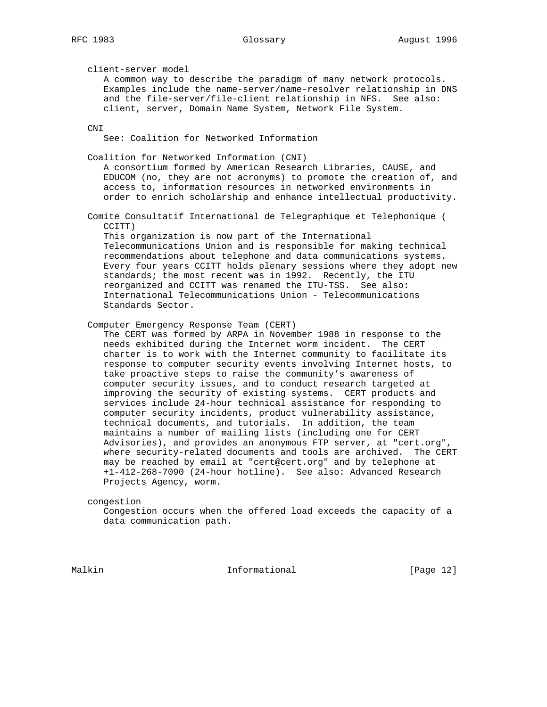client-server model A common way to describe the paradigm of many network protocols. Examples include the name-server/name-resolver relationship in DNS and the file-server/file-client relationship in NFS. See also: client, server, Domain Name System, Network File System. CNI See: Coalition for Networked Information Coalition for Networked Information (CNI) A consortium formed by American Research Libraries, CAUSE, and EDUCOM (no, they are not acronyms) to promote the creation of, and access to, information resources in networked environments in order to enrich scholarship and enhance intellectual productivity. Comite Consultatif International de Telegraphique et Telephonique ( CCITT) This organization is now part of the International

 Telecommunications Union and is responsible for making technical recommendations about telephone and data communications systems. Every four years CCITT holds plenary sessions where they adopt new standards; the most recent was in 1992. Recently, the ITU reorganized and CCITT was renamed the ITU-TSS. See also: International Telecommunications Union - Telecommunications Standards Sector.

Computer Emergency Response Team (CERT)

 The CERT was formed by ARPA in November 1988 in response to the needs exhibited during the Internet worm incident. The CERT charter is to work with the Internet community to facilitate its response to computer security events involving Internet hosts, to take proactive steps to raise the community's awareness of computer security issues, and to conduct research targeted at improving the security of existing systems. CERT products and services include 24-hour technical assistance for responding to computer security incidents, product vulnerability assistance, technical documents, and tutorials. In addition, the team maintains a number of mailing lists (including one for CERT Advisories), and provides an anonymous FTP server, at "cert.org", where security-related documents and tools are archived. The CERT may be reached by email at "cert@cert.org" and by telephone at +1-412-268-7090 (24-hour hotline). See also: Advanced Research Projects Agency, worm.

congestion

 Congestion occurs when the offered load exceeds the capacity of a data communication path.

Malkin **Informational Informational** [Page 12]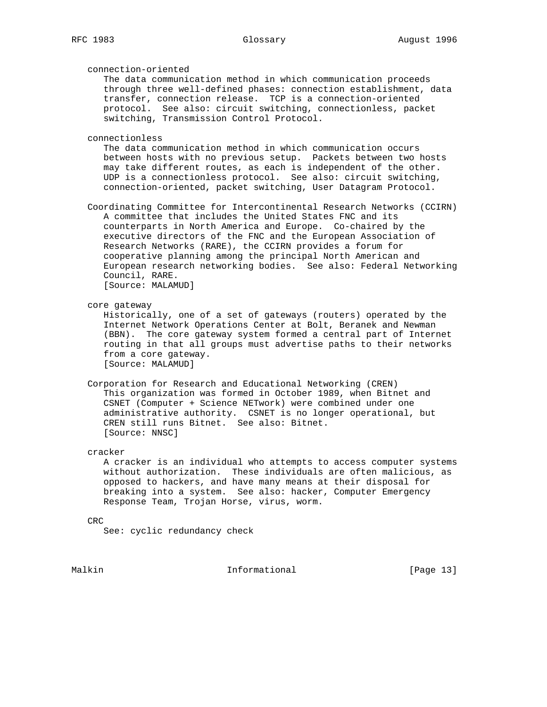# connection-oriented

 The data communication method in which communication proceeds through three well-defined phases: connection establishment, data transfer, connection release. TCP is a connection-oriented protocol. See also: circuit switching, connectionless, packet switching, Transmission Control Protocol.

#### connectionless

 The data communication method in which communication occurs between hosts with no previous setup. Packets between two hosts may take different routes, as each is independent of the other. UDP is a connectionless protocol. See also: circuit switching, connection-oriented, packet switching, User Datagram Protocol.

 Coordinating Committee for Intercontinental Research Networks (CCIRN) A committee that includes the United States FNC and its counterparts in North America and Europe. Co-chaired by the executive directors of the FNC and the European Association of Research Networks (RARE), the CCIRN provides a forum for cooperative planning among the principal North American and European research networking bodies. See also: Federal Networking Council, RARE. [Source: MALAMUD]

core gateway

 Historically, one of a set of gateways (routers) operated by the Internet Network Operations Center at Bolt, Beranek and Newman (BBN). The core gateway system formed a central part of Internet routing in that all groups must advertise paths to their networks from a core gateway. [Source: MALAMUD]

 Corporation for Research and Educational Networking (CREN) This organization was formed in October 1989, when Bitnet and CSNET (Computer + Science NETwork) were combined under one administrative authority. CSNET is no longer operational, but CREN still runs Bitnet. See also: Bitnet. [Source: NNSC]

cracker

 A cracker is an individual who attempts to access computer systems without authorization. These individuals are often malicious, as opposed to hackers, and have many means at their disposal for breaking into a system. See also: hacker, Computer Emergency Response Team, Trojan Horse, virus, worm.

```
 CRC
```
See: cyclic redundancy check

Malkin **Informational Informational** [Page 13]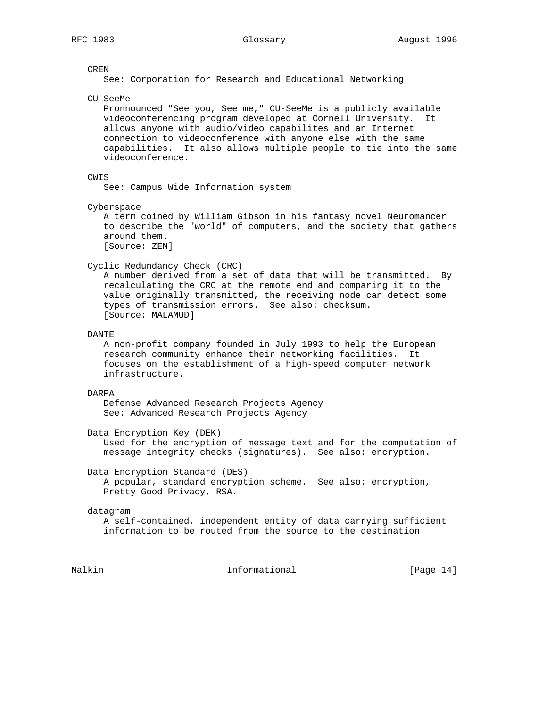# CREN

See: Corporation for Research and Educational Networking

CU-SeeMe

 Pronnounced "See you, See me," CU-SeeMe is a publicly available videoconferencing program developed at Cornell University. It allows anyone with audio/video capabilites and an Internet connection to videoconference with anyone else with the same capabilities. It also allows multiple people to tie into the same videoconference.

CWIS

See: Campus Wide Information system

Cyberspace

 A term coined by William Gibson in his fantasy novel Neuromancer to describe the "world" of computers, and the society that gathers around them. [Source: ZEN]

Cyclic Redundancy Check (CRC)

 A number derived from a set of data that will be transmitted. By recalculating the CRC at the remote end and comparing it to the value originally transmitted, the receiving node can detect some types of transmission errors. See also: checksum. [Source: MALAMUD]

DANTE

 A non-profit company founded in July 1993 to help the European research community enhance their networking facilities. It focuses on the establishment of a high-speed computer network infrastructure.

### DARPA

 Defense Advanced Research Projects Agency See: Advanced Research Projects Agency

Data Encryption Key (DEK)

 Used for the encryption of message text and for the computation of message integrity checks (signatures). See also: encryption.

Data Encryption Standard (DES)

 A popular, standard encryption scheme. See also: encryption, Pretty Good Privacy, RSA.

#### datagram

 A self-contained, independent entity of data carrying sufficient information to be routed from the source to the destination

Malkin **Informational Informational** [Page 14]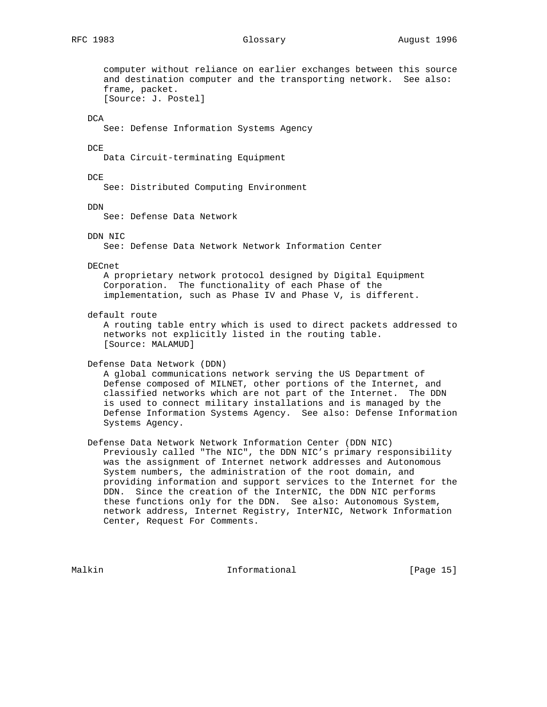computer without reliance on earlier exchanges between this source and destination computer and the transporting network. See also: frame, packet. [Source: J. Postel]

# DCA

See: Defense Information Systems Agency

 $DCF.$ 

Data Circuit-terminating Equipment

 $DCF$ 

See: Distributed Computing Environment

DDN

See: Defense Data Network

DDN NIC

See: Defense Data Network Network Information Center

DECnet

 A proprietary network protocol designed by Digital Equipment Corporation. The functionality of each Phase of the implementation, such as Phase IV and Phase V, is different.

default route

 A routing table entry which is used to direct packets addressed to networks not explicitly listed in the routing table. [Source: MALAMUD]

Defense Data Network (DDN)

 A global communications network serving the US Department of Defense composed of MILNET, other portions of the Internet, and classified networks which are not part of the Internet. The DDN is used to connect military installations and is managed by the Defense Information Systems Agency. See also: Defense Information Systems Agency.

 Defense Data Network Network Information Center (DDN NIC) Previously called "The NIC", the DDN NIC's primary responsibility was the assignment of Internet network addresses and Autonomous System numbers, the administration of the root domain, and providing information and support services to the Internet for the DDN. Since the creation of the InterNIC, the DDN NIC performs these functions only for the DDN. See also: Autonomous System, network address, Internet Registry, InterNIC, Network Information Center, Request For Comments.

Malkin **Informational** Informational [Page 15]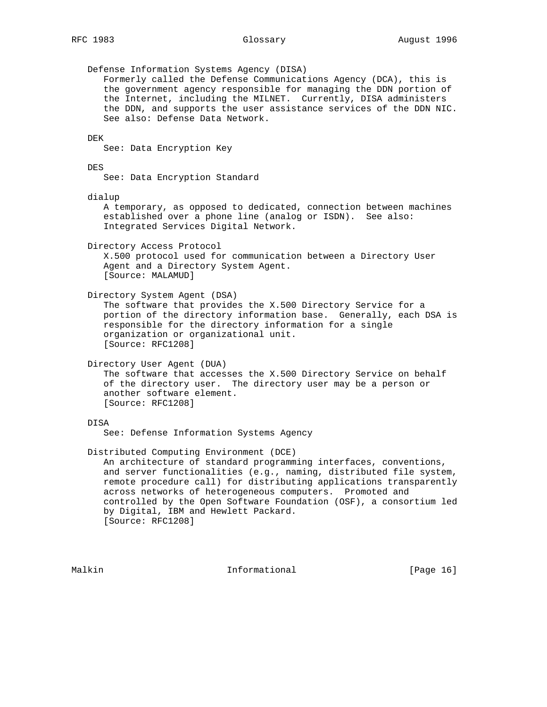Defense Information Systems Agency (DISA) Formerly called the Defense Communications Agency (DCA), this is the government agency responsible for managing the DDN portion of the Internet, including the MILNET. Currently, DISA administers the DDN, and supports the user assistance services of the DDN NIC. See also: Defense Data Network. DEK See: Data Encryption Key DES See: Data Encryption Standard dialup A temporary, as opposed to dedicated, connection between machines established over a phone line (analog or ISDN). See also: Integrated Services Digital Network. Directory Access Protocol X.500 protocol used for communication between a Directory User Agent and a Directory System Agent. [Source: MALAMUD] Directory System Agent (DSA) The software that provides the X.500 Directory Service for a portion of the directory information base. Generally, each DSA is responsible for the directory information for a single organization or organizational unit. [Source: RFC1208] Directory User Agent (DUA) The software that accesses the X.500 Directory Service on behalf of the directory user. The directory user may be a person or another software element. [Source: RFC1208] DISA See: Defense Information Systems Agency Distributed Computing Environment (DCE) An architecture of standard programming interfaces, conventions, and server functionalities (e.g., naming, distributed file system, remote procedure call) for distributing applications transparently across networks of heterogeneous computers. Promoted and controlled by the Open Software Foundation (OSF), a consortium led by Digital, IBM and Hewlett Packard. [Source: RFC1208]

Malkin **Informational Informational** [Page 16]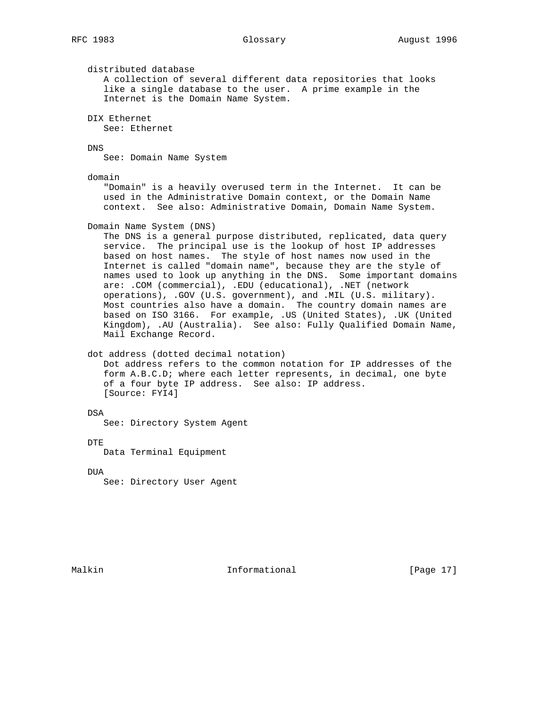distributed database A collection of several different data repositories that looks like a single database to the user. A prime example in the Internet is the Domain Name System. DIX Ethernet See: Ethernet DNS See: Domain Name System domain "Domain" is a heavily overused term in the Internet. It can be used in the Administrative Domain context, or the Domain Name context. See also: Administrative Domain, Domain Name System. Domain Name System (DNS) The DNS is a general purpose distributed, replicated, data query service. The principal use is the lookup of host IP addresses based on host names. The style of host names now used in the Internet is called "domain name", because they are the style of names used to look up anything in the DNS. Some important domains are: .COM (commercial), .EDU (educational), .NET (network operations), .GOV (U.S. government), and .MIL (U.S. military). Most countries also have a domain. The country domain names are based on ISO 3166. For example, .US (United States), .UK (United Kingdom), .AU (Australia). See also: Fully Qualified Domain Name, Mail Exchange Record. dot address (dotted decimal notation) Dot address refers to the common notation for IP addresses of the form A.B.C.D; where each letter represents, in decimal, one byte of a four byte IP address. See also: IP address. [Source: FYI4] DSA See: Directory System Agent DTE. Data Terminal Equipment DUA See: Directory User Agent

Malkin **Informational** Informational [Page 17]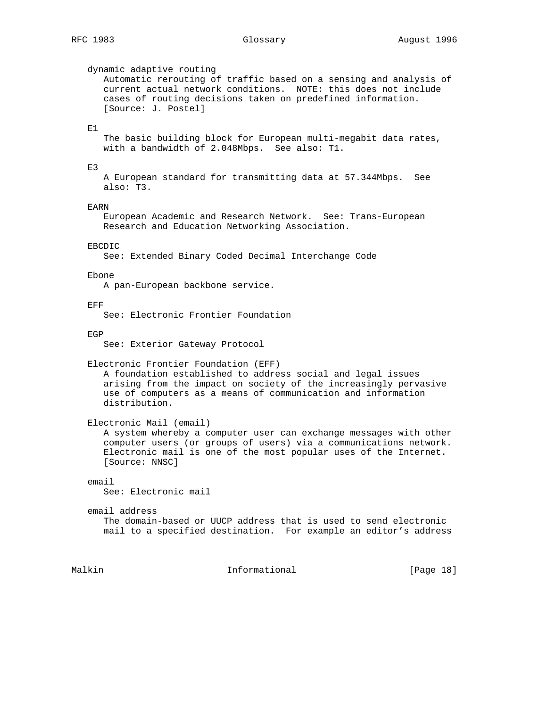dynamic adaptive routing

 Automatic rerouting of traffic based on a sensing and analysis of current actual network conditions. NOTE: this does not include cases of routing decisions taken on predefined information. [Source: J. Postel]

#### $F<sub>i</sub>1$

 The basic building block for European multi-megabit data rates, with a bandwidth of 2.048Mbps. See also: T1.

#### E3

 A European standard for transmitting data at 57.344Mbps. See also: T3.

EARN

 European Academic and Research Network. See: Trans-European Research and Education Networking Association.

EBCDIC

See: Extended Binary Coded Decimal Interchange Code

### Ebone

A pan-European backbone service.

EFF

See: Electronic Frontier Foundation

EGP

See: Exterior Gateway Protocol

# Electronic Frontier Foundation (EFF)

 A foundation established to address social and legal issues arising from the impact on society of the increasingly pervasive use of computers as a means of communication and information distribution.

Electronic Mail (email)

 A system whereby a computer user can exchange messages with other computer users (or groups of users) via a communications network. Electronic mail is one of the most popular uses of the Internet. [Source: NNSC]

email

See: Electronic mail

email address

 The domain-based or UUCP address that is used to send electronic mail to a specified destination. For example an editor's address

Malkin **Informational** Informational **Informational** [Page 18]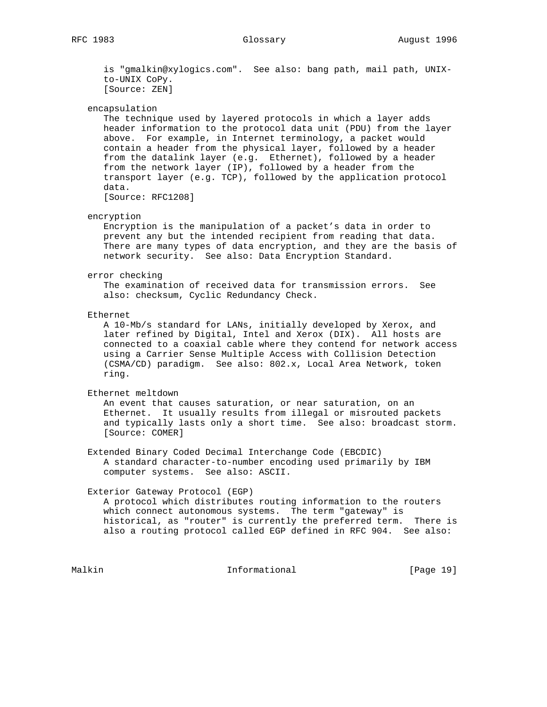is "gmalkin@xylogics.com". See also: bang path, mail path, UNIX to-UNIX CoPy. [Source: ZEN]

encapsulation

 The technique used by layered protocols in which a layer adds header information to the protocol data unit (PDU) from the layer above. For example, in Internet terminology, a packet would contain a header from the physical layer, followed by a header from the datalink layer (e.g. Ethernet), followed by a header from the network layer (IP), followed by a header from the transport layer (e.g. TCP), followed by the application protocol data.

[Source: RFC1208]

#### encryption

 Encryption is the manipulation of a packet's data in order to prevent any but the intended recipient from reading that data. There are many types of data encryption, and they are the basis of network security. See also: Data Encryption Standard.

### error checking

 The examination of received data for transmission errors. See also: checksum, Cyclic Redundancy Check.

### Ethernet

 A 10-Mb/s standard for LANs, initially developed by Xerox, and later refined by Digital, Intel and Xerox (DIX). All hosts are connected to a coaxial cable where they contend for network access using a Carrier Sense Multiple Access with Collision Detection (CSMA/CD) paradigm. See also: 802.x, Local Area Network, token ring.

Ethernet meltdown

 An event that causes saturation, or near saturation, on an Ethernet. It usually results from illegal or misrouted packets and typically lasts only a short time. See also: broadcast storm. [Source: COMER]

 Extended Binary Coded Decimal Interchange Code (EBCDIC) A standard character-to-number encoding used primarily by IBM computer systems. See also: ASCII.

# Exterior Gateway Protocol (EGP)

 A protocol which distributes routing information to the routers which connect autonomous systems. The term "gateway" is historical, as "router" is currently the preferred term. There is also a routing protocol called EGP defined in RFC 904. See also:

Malkin **Informational Informational** [Page 19]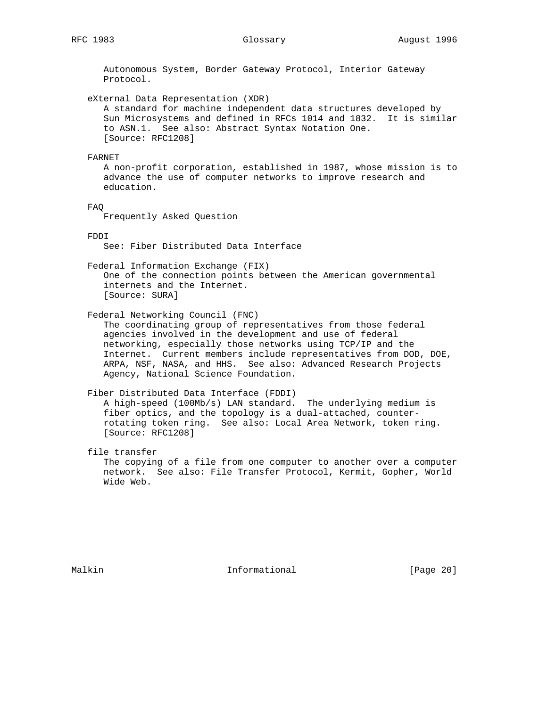Autonomous System, Border Gateway Protocol, Interior Gateway Protocol. eXternal Data Representation (XDR) A standard for machine independent data structures developed by Sun Microsystems and defined in RFCs 1014 and 1832. It is similar to ASN.1. See also: Abstract Syntax Notation One. [Source: RFC1208] FARNET A non-profit corporation, established in 1987, whose mission is to advance the use of computer networks to improve research and education. FAQ Frequently Asked Question FDDI See: Fiber Distributed Data Interface Federal Information Exchange (FIX) One of the connection points between the American governmental internets and the Internet. [Source: SURA] Federal Networking Council (FNC) The coordinating group of representatives from those federal agencies involved in the development and use of federal networking, especially those networks using TCP/IP and the Internet. Current members include representatives from DOD, DOE, ARPA, NSF, NASA, and HHS. See also: Advanced Research Projects Agency, National Science Foundation. Fiber Distributed Data Interface (FDDI) A high-speed (100Mb/s) LAN standard. The underlying medium is fiber optics, and the topology is a dual-attached, counter rotating token ring. See also: Local Area Network, token ring. [Source: RFC1208]

file transfer

 The copying of a file from one computer to another over a computer network. See also: File Transfer Protocol, Kermit, Gopher, World Wide Web.

Malkin **Informational Informational** [Page 20]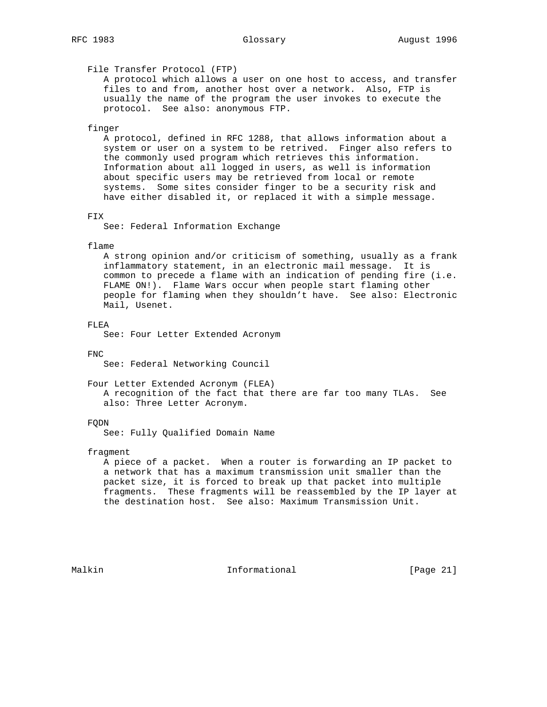# File Transfer Protocol (FTP)

 A protocol which allows a user on one host to access, and transfer files to and from, another host over a network. Also, FTP is usually the name of the program the user invokes to execute the protocol. See also: anonymous FTP.

#### finger

 A protocol, defined in RFC 1288, that allows information about a system or user on a system to be retrived. Finger also refers to the commonly used program which retrieves this information. Information about all logged in users, as well is information about specific users may be retrieved from local or remote systems. Some sites consider finger to be a security risk and have either disabled it, or replaced it with a simple message.

# FIX

See: Federal Information Exchange

### flame

 A strong opinion and/or criticism of something, usually as a frank inflammatory statement, in an electronic mail message. It is common to precede a flame with an indication of pending fire (i.e. FLAME ON!). Flame Wars occur when people start flaming other people for flaming when they shouldn't have. See also: Electronic Mail, Usenet.

# FLEA

See: Four Letter Extended Acronym

### FNC

See: Federal Networking Council

 Four Letter Extended Acronym (FLEA) A recognition of the fact that there are far too many TLAs. See also: Three Letter Acronym.

# FQDN

See: Fully Qualified Domain Name

#### fragment

 A piece of a packet. When a router is forwarding an IP packet to a network that has a maximum transmission unit smaller than the packet size, it is forced to break up that packet into multiple fragments. These fragments will be reassembled by the IP layer at the destination host. See also: Maximum Transmission Unit.

Malkin **Informational Informational** [Page 21]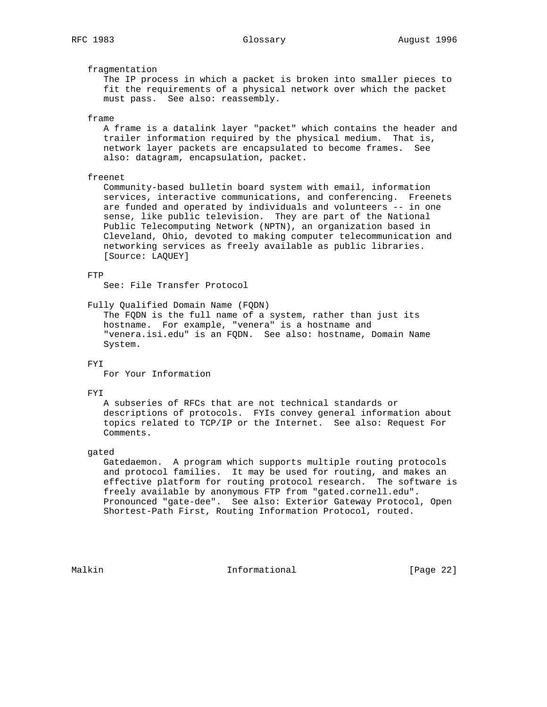# fragmentation

 The IP process in which a packet is broken into smaller pieces to fit the requirements of a physical network over which the packet must pass. See also: reassembly.

frame

 A frame is a datalink layer "packet" which contains the header and trailer information required by the physical medium. That is, network layer packets are encapsulated to become frames. See also: datagram, encapsulation, packet.

# freenet

 Community-based bulletin board system with email, information services, interactive communications, and conferencing. Freenets are funded and operated by individuals and volunteers -- in one sense, like public television. They are part of the National Public Telecomputing Network (NPTN), an organization based in Cleveland, Ohio, devoted to making computer telecommunication and networking services as freely available as public libraries. [Source: LAQUEY]

# FTP

See: File Transfer Protocol

Fully Qualified Domain Name (FQDN)

 The FQDN is the full name of a system, rather than just its hostname. For example, "venera" is a hostname and "venera.isi.edu" is an FQDN. See also: hostname, Domain Name System.

# FYI

For Your Information

#### FYI

 A subseries of RFCs that are not technical standards or descriptions of protocols. FYIs convey general information about topics related to TCP/IP or the Internet. See also: Request For Comments.

### gated

 Gatedaemon. A program which supports multiple routing protocols and protocol families. It may be used for routing, and makes an effective platform for routing protocol research. The software is freely available by anonymous FTP from "gated.cornell.edu". Pronounced "gate-dee". See also: Exterior Gateway Protocol, Open Shortest-Path First, Routing Information Protocol, routed.

Malkin **Informational Informational** [Page 22]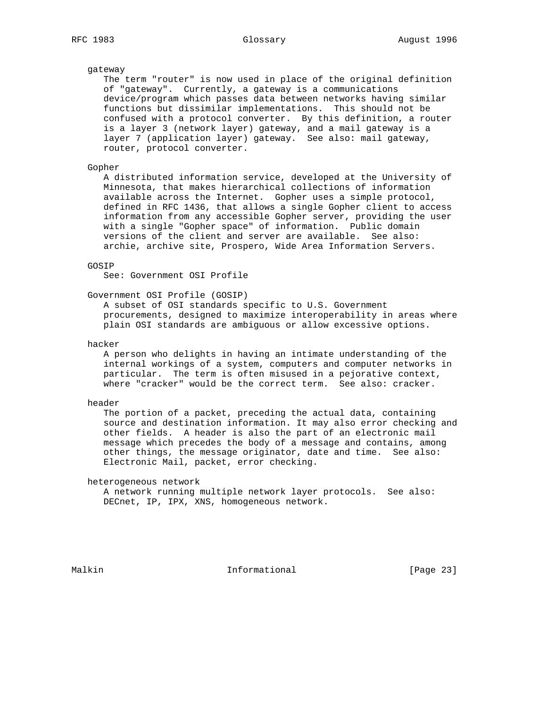#### gateway

 The term "router" is now used in place of the original definition of "gateway". Currently, a gateway is a communications device/program which passes data between networks having similar functions but dissimilar implementations. This should not be confused with a protocol converter. By this definition, a router is a layer 3 (network layer) gateway, and a mail gateway is a layer 7 (application layer) gateway. See also: mail gateway, router, protocol converter.

#### Gopher

 A distributed information service, developed at the University of Minnesota, that makes hierarchical collections of information available across the Internet. Gopher uses a simple protocol, defined in RFC 1436, that allows a single Gopher client to access information from any accessible Gopher server, providing the user with a single "Gopher space" of information. Public domain versions of the client and server are available. See also: archie, archive site, Prospero, Wide Area Information Servers.

#### GOSIP

See: Government OSI Profile

# Government OSI Profile (GOSIP)

 A subset of OSI standards specific to U.S. Government procurements, designed to maximize interoperability in areas where plain OSI standards are ambiguous or allow excessive options.

# hacker

 A person who delights in having an intimate understanding of the internal workings of a system, computers and computer networks in particular. The term is often misused in a pejorative context, where "cracker" would be the correct term. See also: cracker.

# header

 The portion of a packet, preceding the actual data, containing source and destination information. It may also error checking and other fields. A header is also the part of an electronic mail message which precedes the body of a message and contains, among other things, the message originator, date and time. See also: Electronic Mail, packet, error checking.

### heterogeneous network

 A network running multiple network layer protocols. See also: DECnet, IP, IPX, XNS, homogeneous network.

Malkin **Informational Informational** [Page 23]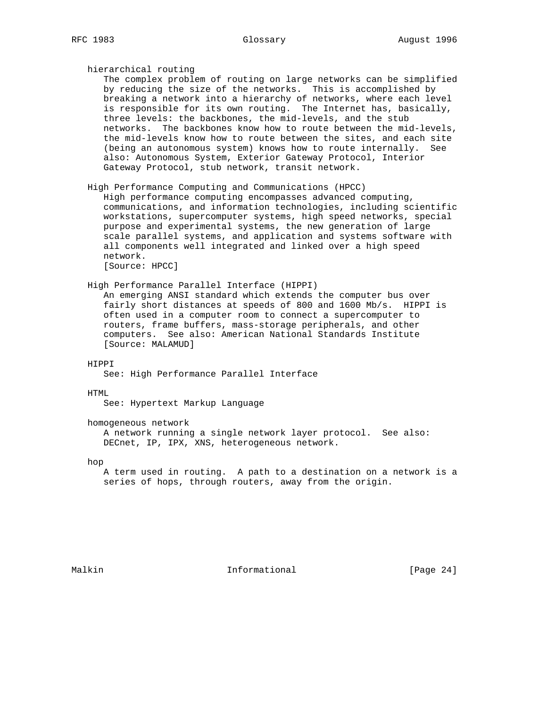hierarchical routing The complex problem of routing on large networks can be simplified by reducing the size of the networks. This is accomplished by breaking a network into a hierarchy of networks, where each level is responsible for its own routing. The Internet has, basically, three levels: the backbones, the mid-levels, and the stub networks. The backbones know how to route between the mid-levels, the mid-levels know how to route between the sites, and each site (being an autonomous system) knows how to route internally. See also: Autonomous System, Exterior Gateway Protocol, Interior Gateway Protocol, stub network, transit network.

 High Performance Computing and Communications (HPCC) High performance computing encompasses advanced computing, communications, and information technologies, including scientific workstations, supercomputer systems, high speed networks, special purpose and experimental systems, the new generation of large scale parallel systems, and application and systems software with all components well integrated and linked over a high speed network.

[Source: HPCC]

# High Performance Parallel Interface (HIPPI)

 An emerging ANSI standard which extends the computer bus over fairly short distances at speeds of 800 and 1600 Mb/s. HIPPI is often used in a computer room to connect a supercomputer to routers, frame buffers, mass-storage peripherals, and other computers. See also: American National Standards Institute [Source: MALAMUD]

# HIPPI

See: High Performance Parallel Interface

#### HTML

See: Hypertext Markup Language

homogeneous network

 A network running a single network layer protocol. See also: DECnet, IP, IPX, XNS, heterogeneous network.

hop

 A term used in routing. A path to a destination on a network is a series of hops, through routers, away from the origin.

Malkin **Informational Informational** [Page 24]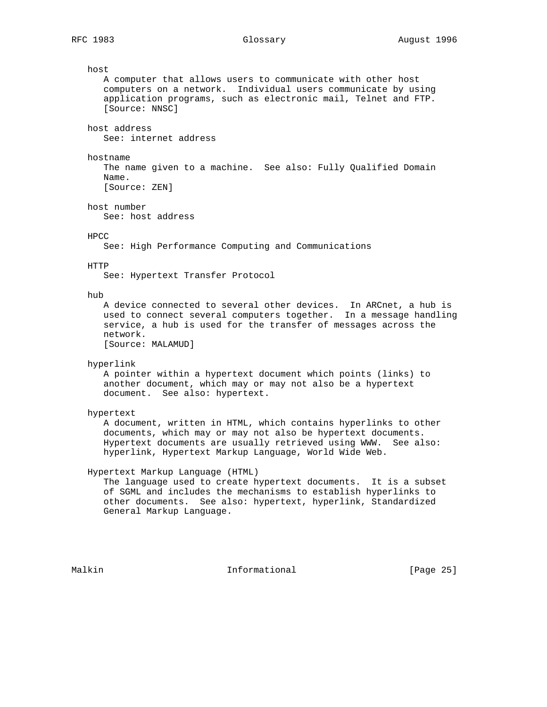# host

 A computer that allows users to communicate with other host computers on a network. Individual users communicate by using application programs, such as electronic mail, Telnet and FTP. [Source: NNSC]

# host address

See: internet address

### hostname

 The name given to a machine. See also: Fully Qualified Domain Name. [Source: ZEN]

host number

See: host address

# HPCC

See: High Performance Computing and Communications

#### HTTP

See: Hypertext Transfer Protocol

# hub

 A device connected to several other devices. In ARCnet, a hub is used to connect several computers together. In a message handling service, a hub is used for the transfer of messages across the network. [Source: MALAMUD]

hyperlink

 A pointer within a hypertext document which points (links) to another document, which may or may not also be a hypertext document. See also: hypertext.

### hypertext

 A document, written in HTML, which contains hyperlinks to other documents, which may or may not also be hypertext documents. Hypertext documents are usually retrieved using WWW. See also: hyperlink, Hypertext Markup Language, World Wide Web.

# Hypertext Markup Language (HTML)

 The language used to create hypertext documents. It is a subset of SGML and includes the mechanisms to establish hyperlinks to other documents. See also: hypertext, hyperlink, Standardized General Markup Language.

Malkin **Informational Informational** [Page 25]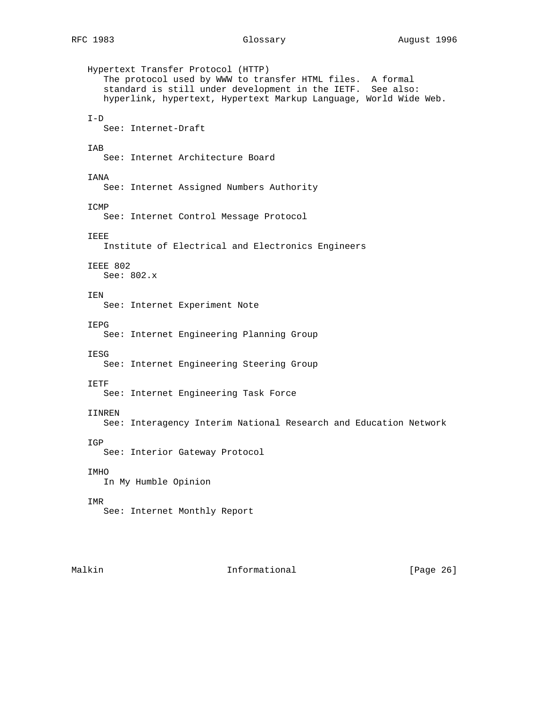Hypertext Transfer Protocol (HTTP) The protocol used by WWW to transfer HTML files. A formal standard is still under development in the IETF. See also: hyperlink, hypertext, Hypertext Markup Language, World Wide Web.  $I-D$  See: Internet-Draft IAB See: Internet Architecture Board IANA See: Internet Assigned Numbers Authority ICMP See: Internet Control Message Protocol IEEE Institute of Electrical and Electronics Engineers IEEE 802 See: 802.x IEN See: Internet Experiment Note IEPG See: Internet Engineering Planning Group IESG See: Internet Engineering Steering Group IETF See: Internet Engineering Task Force IINREN See: Interagency Interim National Research and Education Network IGP See: Interior Gateway Protocol IMHO In My Humble Opinion IMR See: Internet Monthly Report

Malkin **Informational Informational** [Page 26]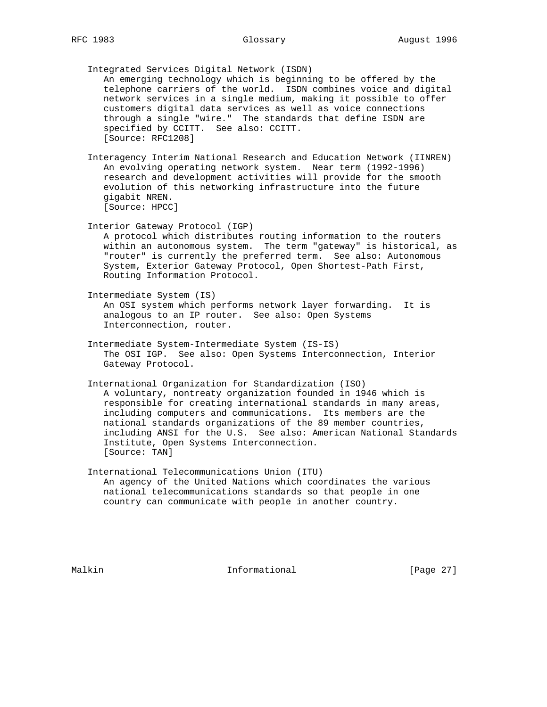Integrated Services Digital Network (ISDN) An emerging technology which is beginning to be offered by the telephone carriers of the world. ISDN combines voice and digital network services in a single medium, making it possible to offer customers digital data services as well as voice connections through a single "wire." The standards that define ISDN are specified by CCITT. See also: CCITT. [Source: RFC1208] Interagency Interim National Research and Education Network (IINREN) An evolving operating network system. Near term (1992-1996) research and development activities will provide for the smooth evolution of this networking infrastructure into the future gigabit NREN. [Source: HPCC] Interior Gateway Protocol (IGP) A protocol which distributes routing information to the routers within an autonomous system. The term "gateway" is historical, as "router" is currently the preferred term. See also: Autonomous System, Exterior Gateway Protocol, Open Shortest-Path First, Routing Information Protocol. Intermediate System (IS) An OSI system which performs network layer forwarding. It is analogous to an IP router. See also: Open Systems Interconnection, router. Intermediate System-Intermediate System (IS-IS) The OSI IGP. See also: Open Systems Interconnection, Interior Gateway Protocol. International Organization for Standardization (ISO) A voluntary, nontreaty organization founded in 1946 which is responsible for creating international standards in many areas, including computers and communications. Its members are the national standards organizations of the 89 member countries, including ANSI for the U.S. See also: American National Standards Institute, Open Systems Interconnection. [Source: TAN]

 International Telecommunications Union (ITU) An agency of the United Nations which coordinates the various national telecommunications standards so that people in one country can communicate with people in another country.

Malkin **Informational Informational** [Page 27]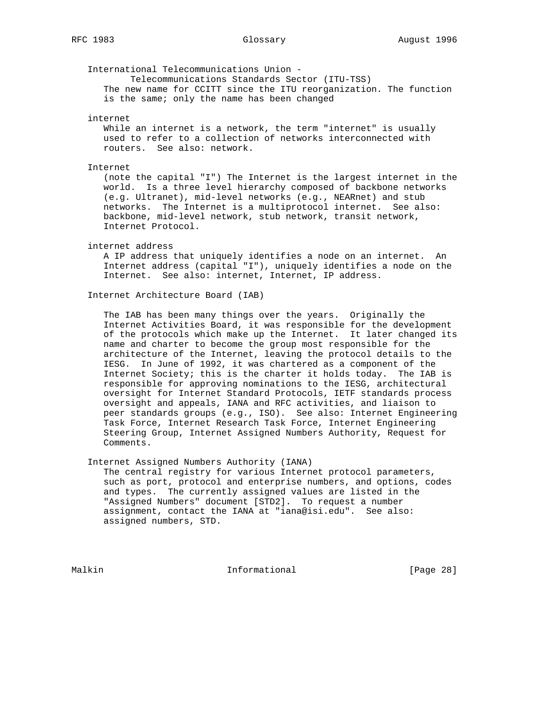International Telecommunications Union -

 Telecommunications Standards Sector (ITU-TSS) The new name for CCITT since the ITU reorganization. The function is the same; only the name has been changed

internet

 While an internet is a network, the term "internet" is usually used to refer to a collection of networks interconnected with routers. See also: network.

Internet

 (note the capital "I") The Internet is the largest internet in the world. Is a three level hierarchy composed of backbone networks (e.g. Ultranet), mid-level networks (e.g., NEARnet) and stub networks. The Internet is a multiprotocol internet. See also: backbone, mid-level network, stub network, transit network, Internet Protocol.

internet address

 A IP address that uniquely identifies a node on an internet. An Internet address (capital "I"), uniquely identifies a node on the Internet. See also: internet, Internet, IP address.

Internet Architecture Board (IAB)

 The IAB has been many things over the years. Originally the Internet Activities Board, it was responsible for the development of the protocols which make up the Internet. It later changed its name and charter to become the group most responsible for the architecture of the Internet, leaving the protocol details to the IESG. In June of 1992, it was chartered as a component of the Internet Society; this is the charter it holds today. The IAB is responsible for approving nominations to the IESG, architectural oversight for Internet Standard Protocols, IETF standards process oversight and appeals, IANA and RFC activities, and liaison to peer standards groups (e.g., ISO). See also: Internet Engineering Task Force, Internet Research Task Force, Internet Engineering Steering Group, Internet Assigned Numbers Authority, Request for Comments.

Internet Assigned Numbers Authority (IANA)

 The central registry for various Internet protocol parameters, such as port, protocol and enterprise numbers, and options, codes and types. The currently assigned values are listed in the "Assigned Numbers" document [STD2]. To request a number assignment, contact the IANA at "iana@isi.edu". See also: assigned numbers, STD.

Malkin **Informational Informational** [Page 28]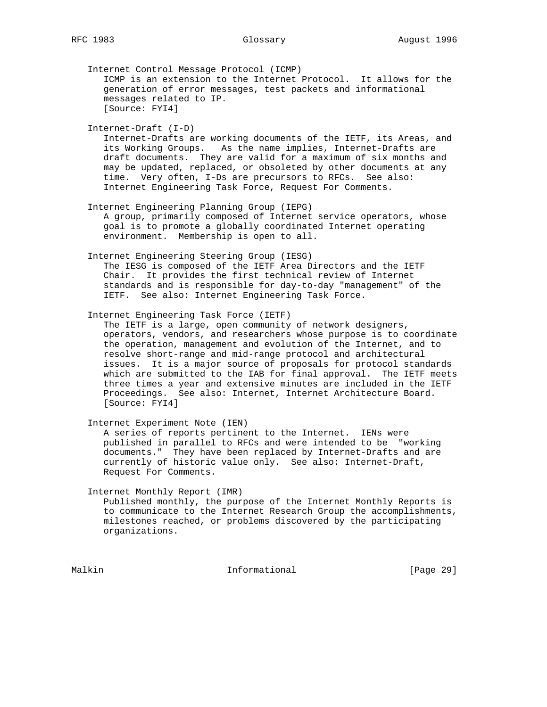Internet Control Message Protocol (ICMP) ICMP is an extension to the Internet Protocol. It allows for the generation of error messages, test packets and informational messages related to IP. [Source: FYI4]

Internet-Draft (I-D)

 Internet-Drafts are working documents of the IETF, its Areas, and its Working Groups. As the name implies, Internet-Drafts are draft documents. They are valid for a maximum of six months and may be updated, replaced, or obsoleted by other documents at any time. Very often, I-Ds are precursors to RFCs. See also: Internet Engineering Task Force, Request For Comments.

- Internet Engineering Planning Group (IEPG) A group, primarily composed of Internet service operators, whose goal is to promote a globally coordinated Internet operating environment. Membership is open to all.
- Internet Engineering Steering Group (IESG) The IESG is composed of the IETF Area Directors and the IETF Chair. It provides the first technical review of Internet standards and is responsible for day-to-day "management" of the IETF. See also: Internet Engineering Task Force.
- Internet Engineering Task Force (IETF)

 The IETF is a large, open community of network designers, operators, vendors, and researchers whose purpose is to coordinate the operation, management and evolution of the Internet, and to resolve short-range and mid-range protocol and architectural issues. It is a major source of proposals for protocol standards which are submitted to the IAB for final approval. The IETF meets three times a year and extensive minutes are included in the IETF Proceedings. See also: Internet, Internet Architecture Board. [Source: FYI4]

Internet Experiment Note (IEN)

 A series of reports pertinent to the Internet. IENs were published in parallel to RFCs and were intended to be "working documents." They have been replaced by Internet-Drafts and are currently of historic value only. See also: Internet-Draft, Request For Comments.

Internet Monthly Report (IMR)

 Published monthly, the purpose of the Internet Monthly Reports is to communicate to the Internet Research Group the accomplishments, milestones reached, or problems discovered by the participating organizations.

Malkin **Informational Informational** [Page 29]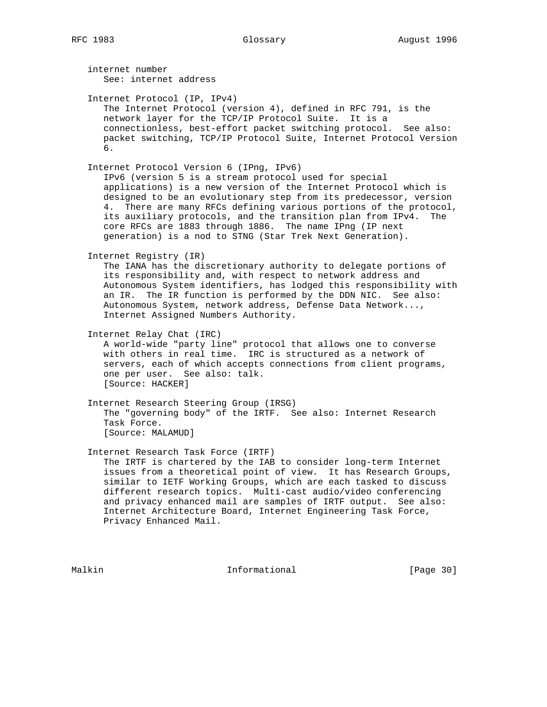internet number

 See: internet address Internet Protocol (IP, IPv4) The Internet Protocol (version 4), defined in RFC 791, is the network layer for the TCP/IP Protocol Suite. It is a connectionless, best-effort packet switching protocol. See also: packet switching, TCP/IP Protocol Suite, Internet Protocol Version 6. Internet Protocol Version 6 (IPng, IPv6) IPv6 (version 5 is a stream protocol used for special applications) is a new version of the Internet Protocol which is designed to be an evolutionary step from its predecessor, version 4. There are many RFCs defining various portions of the protocol, its auxiliary protocols, and the transition plan from IPv4. The core RFCs are 1883 through 1886. The name IPng (IP next generation) is a nod to STNG (Star Trek Next Generation). Internet Registry (IR) The IANA has the discretionary authority to delegate portions of its responsibility and, with respect to network address and Autonomous System identifiers, has lodged this responsibility with an IR. The IR function is performed by the DDN NIC. See also: Autonomous System, network address, Defense Data Network..., Internet Assigned Numbers Authority. Internet Relay Chat (IRC) A world-wide "party line" protocol that allows one to converse with others in real time. IRC is structured as a network of servers, each of which accepts connections from client programs, one per user. See also: talk. [Source: HACKER] Internet Research Steering Group (IRSG) The "governing body" of the IRTF. See also: Internet Research Task Force. [Source: MALAMUD] Internet Research Task Force (IRTF) The IRTF is chartered by the IAB to consider long-term Internet

 issues from a theoretical point of view. It has Research Groups, similar to IETF Working Groups, which are each tasked to discuss different research topics. Multi-cast audio/video conferencing and privacy enhanced mail are samples of IRTF output. See also: Internet Architecture Board, Internet Engineering Task Force, Privacy Enhanced Mail.

Malkin **Informational Informational** [Page 30]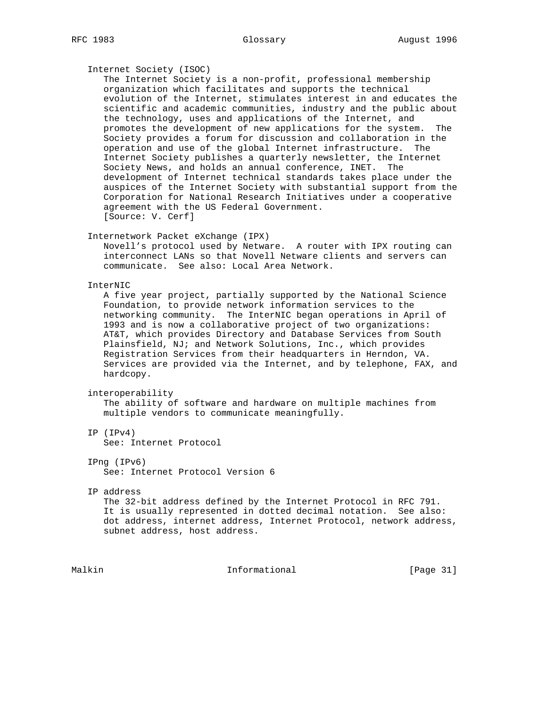# Internet Society (ISOC)

 The Internet Society is a non-profit, professional membership organization which facilitates and supports the technical evolution of the Internet, stimulates interest in and educates the scientific and academic communities, industry and the public about the technology, uses and applications of the Internet, and promotes the development of new applications for the system. The Society provides a forum for discussion and collaboration in the operation and use of the global Internet infrastructure. The Internet Society publishes a quarterly newsletter, the Internet Society News, and holds an annual conference, INET. The development of Internet technical standards takes place under the auspices of the Internet Society with substantial support from the Corporation for National Research Initiatives under a cooperative agreement with the US Federal Government. [Source: V. Cerf]

# Internetwork Packet eXchange (IPX)

 Novell's protocol used by Netware. A router with IPX routing can interconnect LANs so that Novell Netware clients and servers can communicate. See also: Local Area Network.

# InterNIC

 A five year project, partially supported by the National Science Foundation, to provide network information services to the networking community. The InterNIC began operations in April of 1993 and is now a collaborative project of two organizations: AT&T, which provides Directory and Database Services from South Plainsfield, NJ; and Network Solutions, Inc., which provides Registration Services from their headquarters in Herndon, VA. Services are provided via the Internet, and by telephone, FAX, and hardcopy.

### interoperability

 The ability of software and hardware on multiple machines from multiple vendors to communicate meaningfully.

IP (IPv4)

See: Internet Protocol

IPng (IPv6)

See: Internet Protocol Version 6

### IP address

 The 32-bit address defined by the Internet Protocol in RFC 791. It is usually represented in dotted decimal notation. See also: dot address, internet address, Internet Protocol, network address, subnet address, host address.

Malkin **Informational Informational** [Page 31]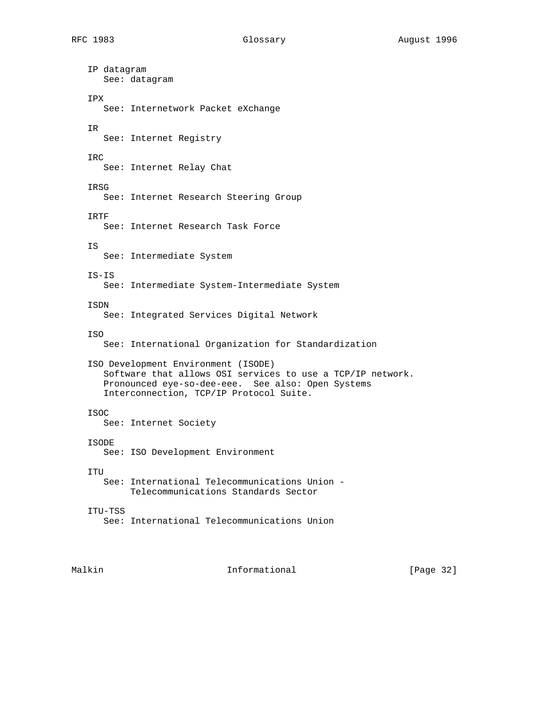IP datagram See: datagram IPX See: Internetwork Packet eXchange IR See: Internet Registry IRC See: Internet Relay Chat IRSG See: Internet Research Steering Group IRTF See: Internet Research Task Force IS See: Intermediate System IS-IS See: Intermediate System-Intermediate System ISDN See: Integrated Services Digital Network ISO See: International Organization for Standardization ISO Development Environment (ISODE) Software that allows OSI services to use a TCP/IP network. Pronounced eye-so-dee-eee. See also: Open Systems Interconnection, TCP/IP Protocol Suite. ISOC See: Internet Society ISODE See: ISO Development Environment ITU See: International Telecommunications Union - Telecommunications Standards Sector ITU-TSS See: International Telecommunications Union

Malkin **Informational Informational** [Page 32]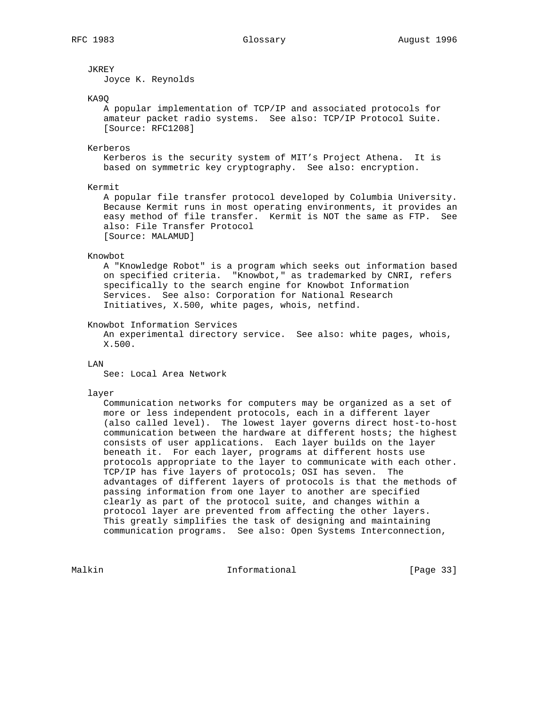# JKREY

Joyce K. Reynolds

# KA9Q

 A popular implementation of TCP/IP and associated protocols for amateur packet radio systems. See also: TCP/IP Protocol Suite. [Source: RFC1208]

#### Kerberos

 Kerberos is the security system of MIT's Project Athena. It is based on symmetric key cryptography. See also: encryption.

### Kermit

 A popular file transfer protocol developed by Columbia University. Because Kermit runs in most operating environments, it provides an easy method of file transfer. Kermit is NOT the same as FTP. See also: File Transfer Protocol [Source: MALAMUD]

#### Knowbot

 A "Knowledge Robot" is a program which seeks out information based on specified criteria. "Knowbot," as trademarked by CNRI, refers specifically to the search engine for Knowbot Information Services. See also: Corporation for National Research Initiatives, X.500, white pages, whois, netfind.

Knowbot Information Services

 An experimental directory service. See also: white pages, whois, X.500.

LAN

See: Local Area Network

### layer

 Communication networks for computers may be organized as a set of more or less independent protocols, each in a different layer (also called level). The lowest layer governs direct host-to-host communication between the hardware at different hosts; the highest consists of user applications. Each layer builds on the layer beneath it. For each layer, programs at different hosts use protocols appropriate to the layer to communicate with each other. TCP/IP has five layers of protocols; OSI has seven. The advantages of different layers of protocols is that the methods of passing information from one layer to another are specified clearly as part of the protocol suite, and changes within a protocol layer are prevented from affecting the other layers. This greatly simplifies the task of designing and maintaining communication programs. See also: Open Systems Interconnection,

Malkin **Informational Informational** [Page 33]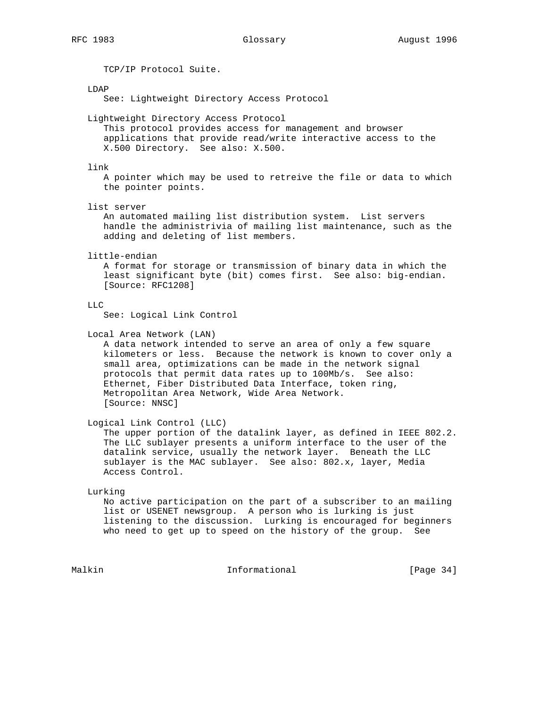TCP/IP Protocol Suite.

# LDAP

See: Lightweight Directory Access Protocol

Lightweight Directory Access Protocol

 This protocol provides access for management and browser applications that provide read/write interactive access to the X.500 Directory. See also: X.500.

#### link

 A pointer which may be used to retreive the file or data to which the pointer points.

#### list server

 An automated mailing list distribution system. List servers handle the administrivia of mailing list maintenance, such as the adding and deleting of list members.

little-endian

 A format for storage or transmission of binary data in which the least significant byte (bit) comes first. See also: big-endian. [Source: RFC1208]

# $T.T.C$

See: Logical Link Control

#### Local Area Network (LAN)

 A data network intended to serve an area of only a few square kilometers or less. Because the network is known to cover only a small area, optimizations can be made in the network signal protocols that permit data rates up to 100Mb/s. See also: Ethernet, Fiber Distributed Data Interface, token ring, Metropolitan Area Network, Wide Area Network. [Source: NNSC]

Logical Link Control (LLC)

 The upper portion of the datalink layer, as defined in IEEE 802.2. The LLC sublayer presents a uniform interface to the user of the datalink service, usually the network layer. Beneath the LLC sublayer is the MAC sublayer. See also: 802.x, layer, Media Access Control.

# Lurking

 No active participation on the part of a subscriber to an mailing list or USENET newsgroup. A person who is lurking is just listening to the discussion. Lurking is encouraged for beginners who need to get up to speed on the history of the group. See

Malkin **Informational Informational** [Page 34]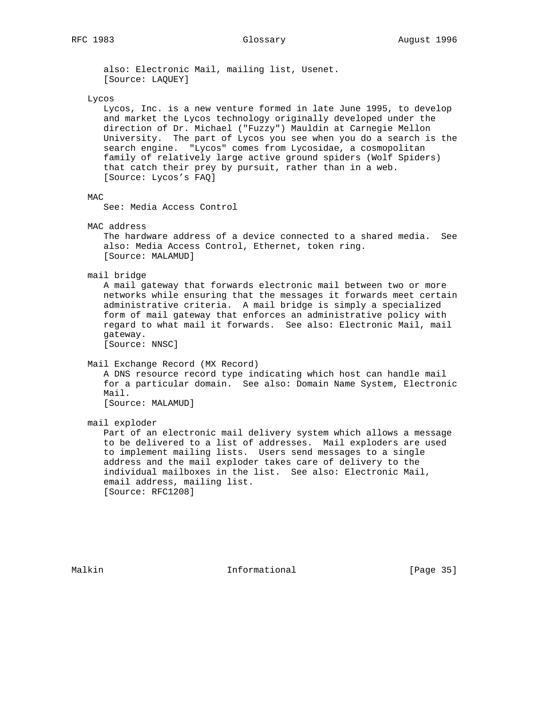also: Electronic Mail, mailing list, Usenet. [Source: LAQUEY]

## Lycos

 Lycos, Inc. is a new venture formed in late June 1995, to develop and market the Lycos technology originally developed under the direction of Dr. Michael ("Fuzzy") Mauldin at Carnegie Mellon University. The part of Lycos you see when you do a search is the search engine. "Lycos" comes from Lycosidae, a cosmopolitan family of relatively large active ground spiders (Wolf Spiders) that catch their prey by pursuit, rather than in a web. [Source: Lycos's FAQ]

#### MAC

See: Media Access Control

MAC address

 The hardware address of a device connected to a shared media. See also: Media Access Control, Ethernet, token ring. [Source: MALAMUD]

mail bridge

 A mail gateway that forwards electronic mail between two or more networks while ensuring that the messages it forwards meet certain administrative criteria. A mail bridge is simply a specialized form of mail gateway that enforces an administrative policy with regard to what mail it forwards. See also: Electronic Mail, mail gateway.

[Source: NNSC]

#### Mail Exchange Record (MX Record)

 A DNS resource record type indicating which host can handle mail for a particular domain. See also: Domain Name System, Electronic Mail.

[Source: MALAMUD]

mail exploder

 Part of an electronic mail delivery system which allows a message to be delivered to a list of addresses. Mail exploders are used to implement mailing lists. Users send messages to a single address and the mail exploder takes care of delivery to the individual mailboxes in the list. See also: Electronic Mail, email address, mailing list. [Source: RFC1208]

Malkin **Informational Informational** [Page 35]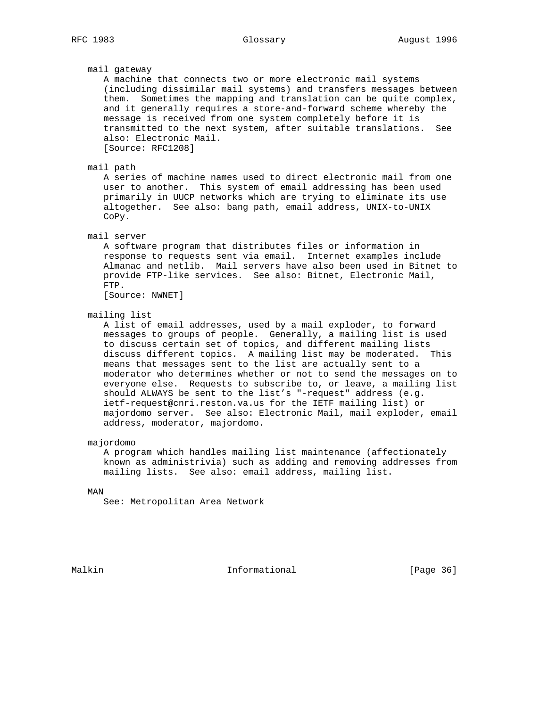# mail gateway

 A machine that connects two or more electronic mail systems (including dissimilar mail systems) and transfers messages between them. Sometimes the mapping and translation can be quite complex, and it generally requires a store-and-forward scheme whereby the message is received from one system completely before it is transmitted to the next system, after suitable translations. See also: Electronic Mail.

[Source: RFC1208]

# mail path

 A series of machine names used to direct electronic mail from one user to another. This system of email addressing has been used primarily in UUCP networks which are trying to eliminate its use altogether. See also: bang path, email address, UNIX-to-UNIX CoPy.

mail server

 A software program that distributes files or information in response to requests sent via email. Internet examples include Almanac and netlib. Mail servers have also been used in Bitnet to provide FTP-like services. See also: Bitnet, Electronic Mail, FTP.

[Source: NWNET]

# mailing list

 A list of email addresses, used by a mail exploder, to forward messages to groups of people. Generally, a mailing list is used to discuss certain set of topics, and different mailing lists discuss different topics. A mailing list may be moderated. This means that messages sent to the list are actually sent to a moderator who determines whether or not to send the messages on to everyone else. Requests to subscribe to, or leave, a mailing list should ALWAYS be sent to the list's "-request" address (e.g. ietf-request@cnri.reston.va.us for the IETF mailing list) or majordomo server. See also: Electronic Mail, mail exploder, email address, moderator, majordomo.

#### majordomo

 A program which handles mailing list maintenance (affectionately known as administrivia) such as adding and removing addresses from mailing lists. See also: email address, mailing list.

### MAN

See: Metropolitan Area Network

Malkin **Informational Informational** [Page 36]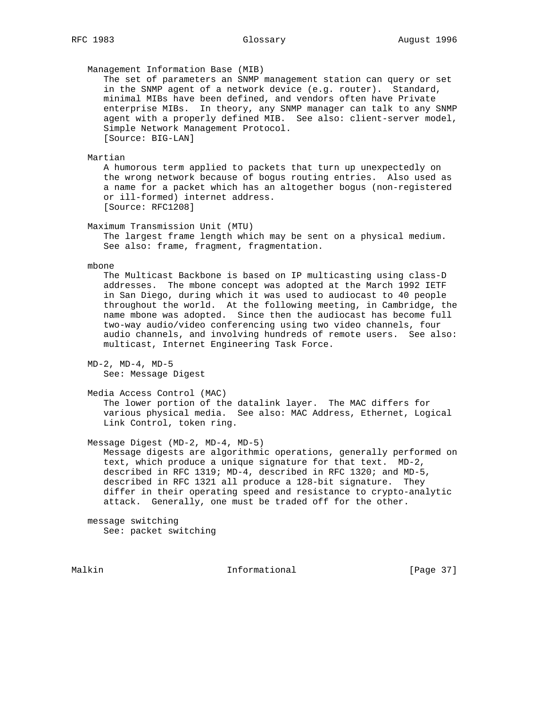Management Information Base (MIB) The set of parameters an SNMP management station can query or set in the SNMP agent of a network device (e.g. router). Standard, minimal MIBs have been defined, and vendors often have Private enterprise MIBs. In theory, any SNMP manager can talk to any SNMP agent with a properly defined MIB. See also: client-server model, Simple Network Management Protocol. [Source: BIG-LAN] Martian A humorous term applied to packets that turn up unexpectedly on the wrong network because of bogus routing entries. Also used as a name for a packet which has an altogether bogus (non-registered or ill-formed) internet address. [Source: RFC1208] Maximum Transmission Unit (MTU) The largest frame length which may be sent on a physical medium. See also: frame, fragment, fragmentation. mbone The Multicast Backbone is based on IP multicasting using class-D addresses. The mbone concept was adopted at the March 1992 IETF in San Diego, during which it was used to audiocast to 40 people throughout the world. At the following meeting, in Cambridge, the name mbone was adopted. Since then the audiocast has become full two-way audio/video conferencing using two video channels, four audio channels, and involving hundreds of remote users. See also: multicast, Internet Engineering Task Force. MD-2, MD-4, MD-5 See: Message Digest Media Access Control (MAC) The lower portion of the datalink layer. The MAC differs for various physical media. See also: MAC Address, Ethernet, Logical Link Control, token ring. Message Digest (MD-2, MD-4, MD-5) Message digests are algorithmic operations, generally performed on text, which produce a unique signature for that text. MD-2, described in RFC 1319; MD-4, described in RFC 1320; and MD-5, described in RFC 1321 all produce a 128-bit signature. They differ in their operating speed and resistance to crypto-analytic

 message switching See: packet switching

Malkin **Informational Informational** [Page 37]

attack. Generally, one must be traded off for the other.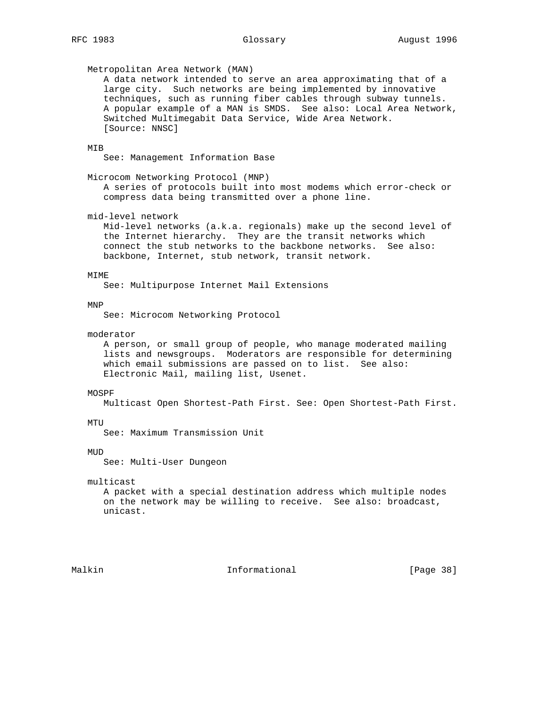Metropolitan Area Network (MAN) A data network intended to serve an area approximating that of a large city. Such networks are being implemented by innovative techniques, such as running fiber cables through subway tunnels. A popular example of a MAN is SMDS. See also: Local Area Network, Switched Multimegabit Data Service, Wide Area Network. [Source: NNSC] MIB See: Management Information Base Microcom Networking Protocol (MNP) A series of protocols built into most modems which error-check or compress data being transmitted over a phone line. mid-level network Mid-level networks (a.k.a. regionals) make up the second level of the Internet hierarchy. They are the transit networks which connect the stub networks to the backbone networks. See also: backbone, Internet, stub network, transit network. MTMF. See: Multipurpose Internet Mail Extensions MNP See: Microcom Networking Protocol moderator A person, or small group of people, who manage moderated mailing lists and newsgroups. Moderators are responsible for determining which email submissions are passed on to list. See also: Electronic Mail, mailing list, Usenet.

# MOSPF

Multicast Open Shortest-Path First. See: Open Shortest-Path First.

# MTU

See: Maximum Transmission Unit

# MUD

See: Multi-User Dungeon

#### multicast

 A packet with a special destination address which multiple nodes on the network may be willing to receive. See also: broadcast, unicast.

Malkin **Informational Informational** [Page 38]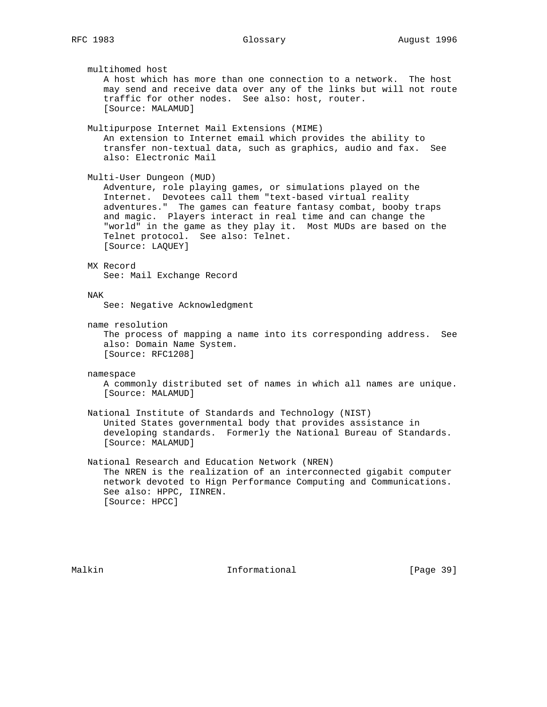multihomed host A host which has more than one connection to a network. The host may send and receive data over any of the links but will not route traffic for other nodes. See also: host, router. [Source: MALAMUD] Multipurpose Internet Mail Extensions (MIME) An extension to Internet email which provides the ability to transfer non-textual data, such as graphics, audio and fax. See also: Electronic Mail Multi-User Dungeon (MUD) Adventure, role playing games, or simulations played on the Internet. Devotees call them "text-based virtual reality adventures." The games can feature fantasy combat, booby traps and magic. Players interact in real time and can change the "world" in the game as they play it. Most MUDs are based on the Telnet protocol. See also: Telnet. [Source: LAQUEY] MX Record See: Mail Exchange Record NAK See: Negative Acknowledgment name resolution The process of mapping a name into its corresponding address. See also: Domain Name System. [Source: RFC1208] namespace A commonly distributed set of names in which all names are unique. [Source: MALAMUD] National Institute of Standards and Technology (NIST) United States governmental body that provides assistance in developing standards. Formerly the National Bureau of Standards. [Source: MALAMUD] National Research and Education Network (NREN) The NREN is the realization of an interconnected gigabit computer network devoted to Hign Performance Computing and Communications. See also: HPPC, IINREN. [Source: HPCC]

Malkin **Informational Informational** [Page 39]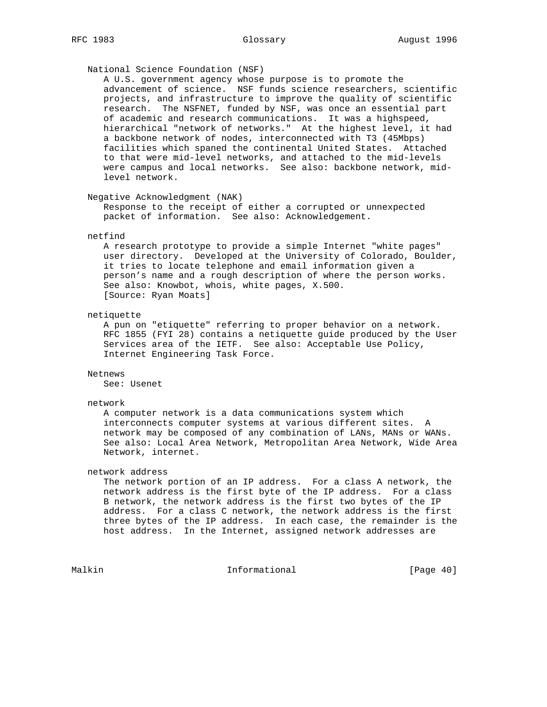# National Science Foundation (NSF)

 A U.S. government agency whose purpose is to promote the advancement of science. NSF funds science researchers, scientific projects, and infrastructure to improve the quality of scientific research. The NSFNET, funded by NSF, was once an essential part of academic and research communications. It was a highspeed, hierarchical "network of networks." At the highest level, it had a backbone network of nodes, interconnected with T3 (45Mbps) facilities which spaned the continental United States. Attached to that were mid-level networks, and attached to the mid-levels were campus and local networks. See also: backbone network, mid level network.

Negative Acknowledgment (NAK)

 Response to the receipt of either a corrupted or unnexpected packet of information. See also: Acknowledgement.

# netfind

 A research prototype to provide a simple Internet "white pages" user directory. Developed at the University of Colorado, Boulder, it tries to locate telephone and email information given a person's name and a rough description of where the person works. See also: Knowbot, whois, white pages, X.500. [Source: Ryan Moats]

#### netiquette

 A pun on "etiquette" referring to proper behavior on a network. RFC 1855 (FYI 28) contains a netiquette guide produced by the User Services area of the IETF. See also: Acceptable Use Policy, Internet Engineering Task Force.

### Netnews

See: Usenet

#### network

 A computer network is a data communications system which interconnects computer systems at various different sites. A network may be composed of any combination of LANs, MANs or WANs. See also: Local Area Network, Metropolitan Area Network, Wide Area Network, internet.

# network address

 The network portion of an IP address. For a class A network, the network address is the first byte of the IP address. For a class B network, the network address is the first two bytes of the IP address. For a class C network, the network address is the first three bytes of the IP address. In each case, the remainder is the host address. In the Internet, assigned network addresses are

Malkin **Informational Informational** [Page 40]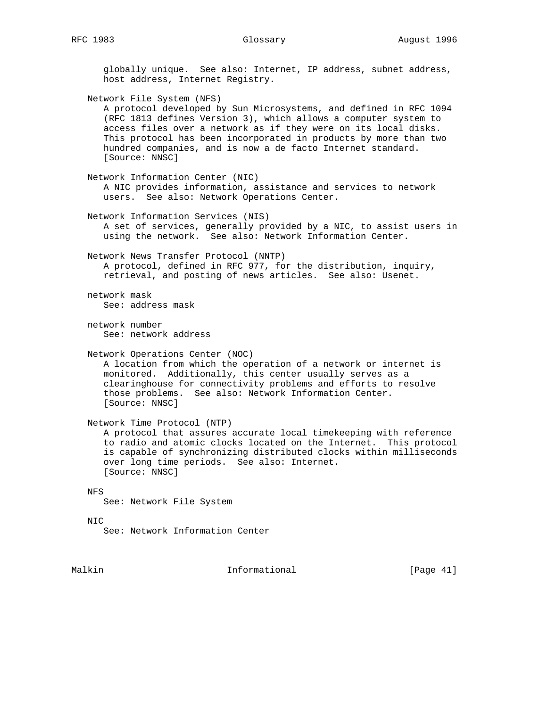globally unique. See also: Internet, IP address, subnet address, host address, Internet Registry. Network File System (NFS) A protocol developed by Sun Microsystems, and defined in RFC 1094 (RFC 1813 defines Version 3), which allows a computer system to access files over a network as if they were on its local disks. This protocol has been incorporated in products by more than two hundred companies, and is now a de facto Internet standard. [Source: NNSC] Network Information Center (NIC) A NIC provides information, assistance and services to network users. See also: Network Operations Center. Network Information Services (NIS) A set of services, generally provided by a NIC, to assist users in using the network. See also: Network Information Center. Network News Transfer Protocol (NNTP) A protocol, defined in RFC 977, for the distribution, inquiry, retrieval, and posting of news articles. See also: Usenet. network mask See: address mask network number See: network address Network Operations Center (NOC) A location from which the operation of a network or internet is monitored. Additionally, this center usually serves as a clearinghouse for connectivity problems and efforts to resolve those problems. See also: Network Information Center. [Source: NNSC] Network Time Protocol (NTP) A protocol that assures accurate local timekeeping with reference to radio and atomic clocks located on the Internet. This protocol is capable of synchronizing distributed clocks within milliseconds over long time periods. See also: Internet. [Source: NNSC] NFS See: Network File System NIC See: Network Information Center

Malkin **Informational Informational** [Page 41]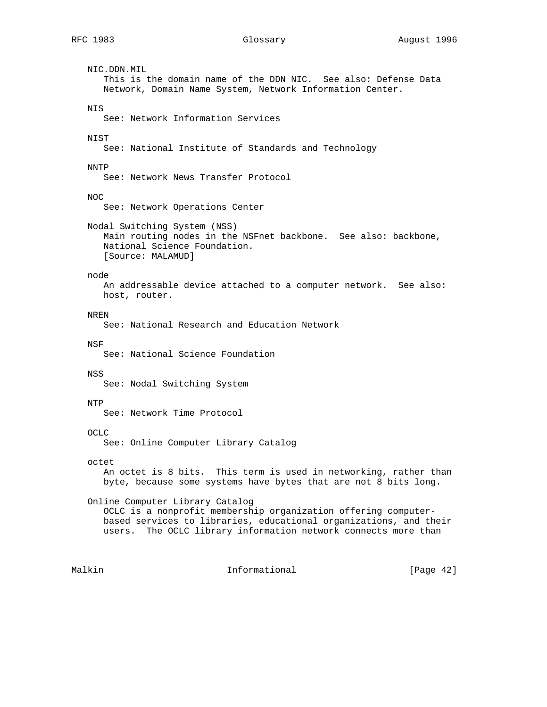NIC.DDN.MIL This is the domain name of the DDN NIC. See also: Defense Data Network, Domain Name System, Network Information Center. NIS See: Network Information Services NIST See: National Institute of Standards and Technology NNTP See: Network News Transfer Protocol NOC See: Network Operations Center Nodal Switching System (NSS) Main routing nodes in the NSFnet backbone. See also: backbone, National Science Foundation. [Source: MALAMUD] node An addressable device attached to a computer network. See also: host, router. NREN See: National Research and Education Network NSF See: National Science Foundation NSS See: Nodal Switching System NTP See: Network Time Protocol OCLC See: Online Computer Library Catalog octet An octet is 8 bits. This term is used in networking, rather than byte, because some systems have bytes that are not 8 bits long. Online Computer Library Catalog OCLC is a nonprofit membership organization offering computer based services to libraries, educational organizations, and their users. The OCLC library information network connects more than

Malkin **Informational Informational** [Page 42]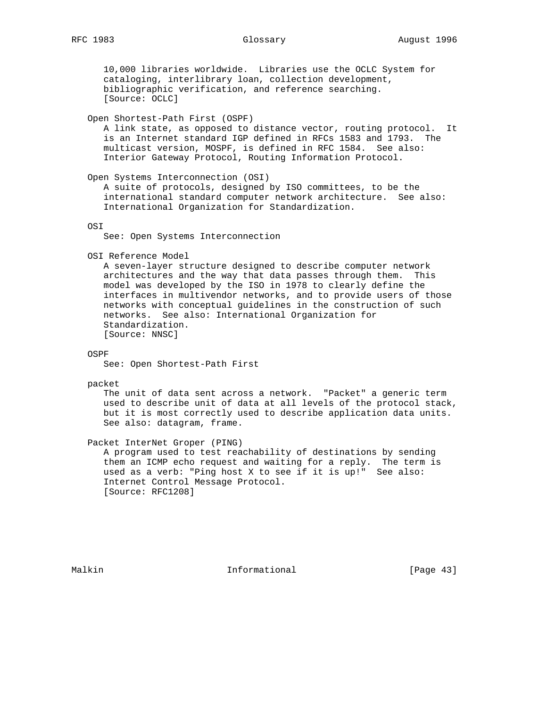10,000 libraries worldwide. Libraries use the OCLC System for cataloging, interlibrary loan, collection development, bibliographic verification, and reference searching. [Source: OCLC]

# Open Shortest-Path First (OSPF)

 A link state, as opposed to distance vector, routing protocol. It is an Internet standard IGP defined in RFCs 1583 and 1793. The multicast version, MOSPF, is defined in RFC 1584. See also: Interior Gateway Protocol, Routing Information Protocol.

Open Systems Interconnection (OSI)

 A suite of protocols, designed by ISO committees, to be the international standard computer network architecture. See also: International Organization for Standardization.

OSI

See: Open Systems Interconnection

OSI Reference Model

 A seven-layer structure designed to describe computer network architectures and the way that data passes through them. This model was developed by the ISO in 1978 to clearly define the interfaces in multivendor networks, and to provide users of those networks with conceptual guidelines in the construction of such networks. See also: International Organization for Standardization. [Source: NNSC]

### OSPF

See: Open Shortest-Path First

#### packet

 The unit of data sent across a network. "Packet" a generic term used to describe unit of data at all levels of the protocol stack, but it is most correctly used to describe application data units. See also: datagram, frame.

Packet InterNet Groper (PING)

 A program used to test reachability of destinations by sending them an ICMP echo request and waiting for a reply. The term is used as a verb: "Ping host X to see if it is up!" See also: Internet Control Message Protocol. [Source: RFC1208]

Malkin **Informational Informational** [Page 43]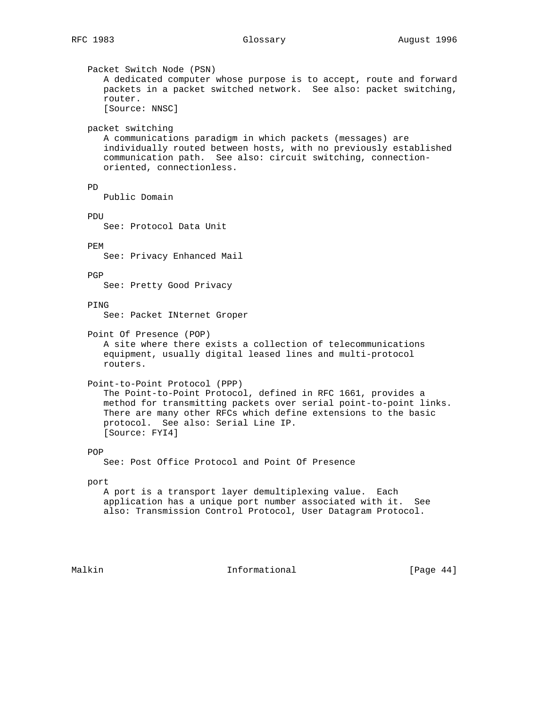Packet Switch Node (PSN) A dedicated computer whose purpose is to accept, route and forward packets in a packet switched network. See also: packet switching, router. [Source: NNSC] packet switching A communications paradigm in which packets (messages) are individually routed between hosts, with no previously established communication path. See also: circuit switching, connection oriented, connectionless. PD Public Domain PDU See: Protocol Data Unit PEM See: Privacy Enhanced Mail PGP See: Pretty Good Privacy PING See: Packet INternet Groper Point Of Presence (POP) A site where there exists a collection of telecommunications equipment, usually digital leased lines and multi-protocol routers. Point-to-Point Protocol (PPP) The Point-to-Point Protocol, defined in RFC 1661, provides a method for transmitting packets over serial point-to-point links. There are many other RFCs which define extensions to the basic protocol. See also: Serial Line IP. [Source: FYI4] POP See: Post Office Protocol and Point Of Presence port A port is a transport layer demultiplexing value. Each application has a unique port number associated with it. See also: Transmission Control Protocol, User Datagram Protocol.

Malkin **Informational Informational** [Page 44]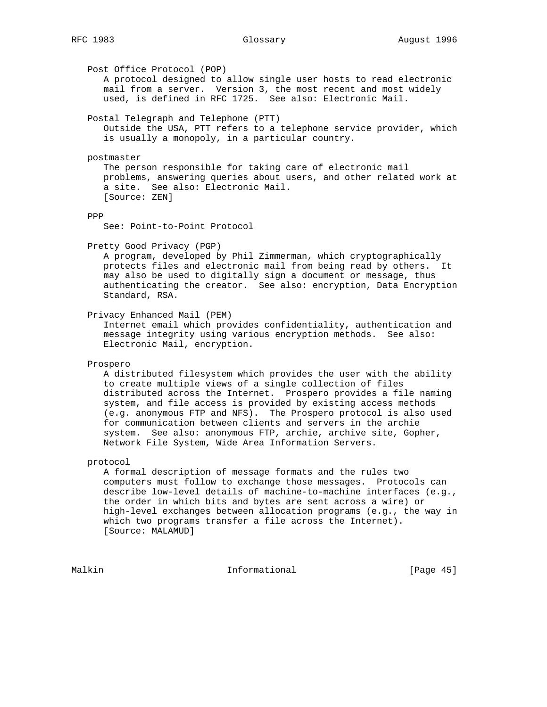Post Office Protocol (POP) A protocol designed to allow single user hosts to read electronic mail from a server. Version 3, the most recent and most widely used, is defined in RFC 1725. See also: Electronic Mail. Postal Telegraph and Telephone (PTT) Outside the USA, PTT refers to a telephone service provider, which is usually a monopoly, in a particular country. postmaster The person responsible for taking care of electronic mail problems, answering queries about users, and other related work at a site. See also: Electronic Mail. [Source: ZEN] PPP See: Point-to-Point Protocol Pretty Good Privacy (PGP) A program, developed by Phil Zimmerman, which cryptographically protects files and electronic mail from being read by others. It may also be used to digitally sign a document or message, thus authenticating the creator. See also: encryption, Data Encryption Standard, RSA. Privacy Enhanced Mail (PEM) Internet email which provides confidentiality, authentication and message integrity using various encryption methods. See also: Electronic Mail, encryption. Prospero A distributed filesystem which provides the user with the ability to create multiple views of a single collection of files distributed across the Internet. Prospero provides a file naming system, and file access is provided by existing access methods (e.g. anonymous FTP and NFS). The Prospero protocol is also used for communication between clients and servers in the archie system. See also: anonymous FTP, archie, archive site, Gopher, Network File System, Wide Area Information Servers. protocol A formal description of message formats and the rules two computers must follow to exchange those messages. Protocols can describe low-level details of machine-to-machine interfaces (e.g., the order in which bits and bytes are sent across a wire) or high-level exchanges between allocation programs (e.g., the way in which two programs transfer a file across the Internet). [Source: MALAMUD]

Malkin **Informational Informational** [Page 45]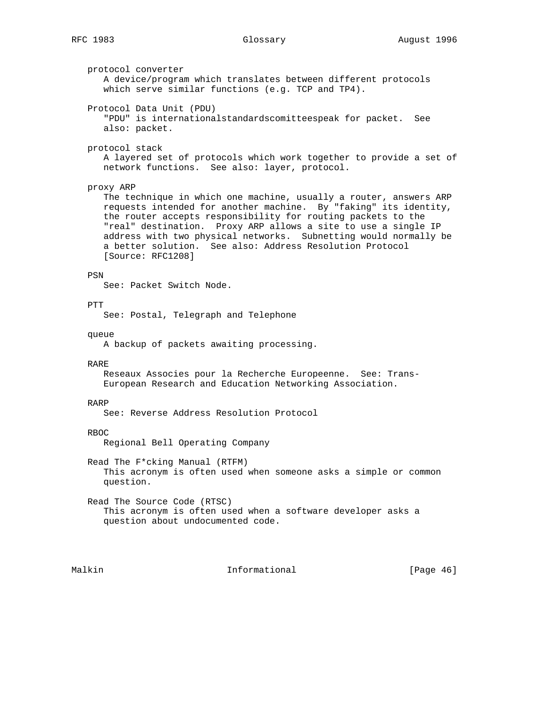protocol converter A device/program which translates between different protocols which serve similar functions (e.g. TCP and TP4). Protocol Data Unit (PDU) "PDU" is internationalstandardscomitteespeak for packet. See also: packet. protocol stack A layered set of protocols which work together to provide a set of network functions. See also: layer, protocol. proxy ARP The technique in which one machine, usually a router, answers ARP requests intended for another machine. By "faking" its identity, the router accepts responsibility for routing packets to the "real" destination. Proxy ARP allows a site to use a single IP address with two physical networks. Subnetting would normally be a better solution. See also: Address Resolution Protocol [Source: RFC1208] PSN See: Packet Switch Node. PTT See: Postal, Telegraph and Telephone queue A backup of packets awaiting processing. RARE Reseaux Associes pour la Recherche Europeenne. See: Trans- European Research and Education Networking Association. RARP See: Reverse Address Resolution Protocol RBOC Regional Bell Operating Company Read The F\*cking Manual (RTFM) This acronym is often used when someone asks a simple or common question. Read The Source Code (RTSC) This acronym is often used when a software developer asks a question about undocumented code.

Malkin **Informational** Informational [Page 46]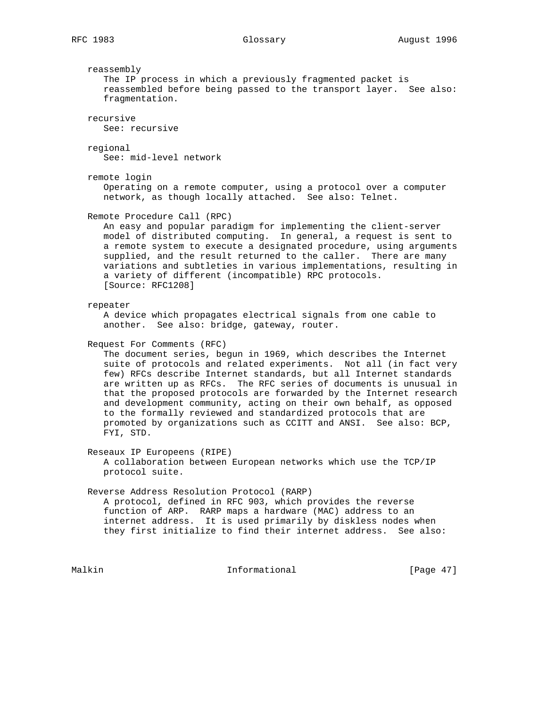reassembly The IP process in which a previously fragmented packet is reassembled before being passed to the transport layer. See also: fragmentation. recursive See: recursive regional See: mid-level network remote login Operating on a remote computer, using a protocol over a computer network, as though locally attached. See also: Telnet. Remote Procedure Call (RPC) An easy and popular paradigm for implementing the client-server model of distributed computing. In general, a request is sent to a remote system to execute a designated procedure, using arguments supplied, and the result returned to the caller. There are many variations and subtleties in various implementations, resulting in a variety of different (incompatible) RPC protocols. [Source: RFC1208] repeater A device which propagates electrical signals from one cable to another. See also: bridge, gateway, router. Request For Comments (RFC) The document series, begun in 1969, which describes the Internet suite of protocols and related experiments. Not all (in fact very few) RFCs describe Internet standards, but all Internet standards are written up as RFCs. The RFC series of documents is unusual in that the proposed protocols are forwarded by the Internet research and development community, acting on their own behalf, as opposed to the formally reviewed and standardized protocols that are promoted by organizations such as CCITT and ANSI. See also: BCP, FYI, STD. Reseaux IP Europeens (RIPE) A collaboration between European networks which use the TCP/IP protocol suite. Reverse Address Resolution Protocol (RARP) A protocol, defined in RFC 903, which provides the reverse function of ARP. RARP maps a hardware (MAC) address to an internet address. It is used primarily by diskless nodes when they first initialize to find their internet address. See also:

Malkin **Informational Informational** [Page 47]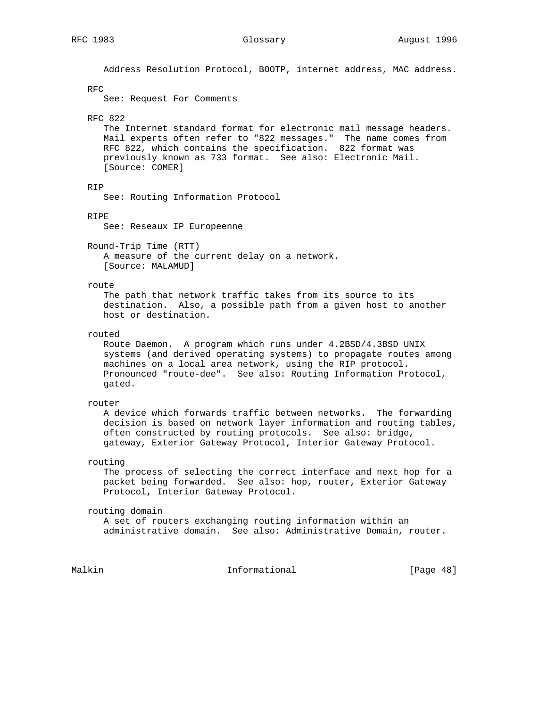Address Resolution Protocol, BOOTP, internet address, MAC address.

# RFC

See: Request For Comments

### RFC 822

 The Internet standard format for electronic mail message headers. Mail experts often refer to "822 messages." The name comes from RFC 822, which contains the specification. 822 format was previously known as 733 format. See also: Electronic Mail. [Source: COMER]

# RIP

See: Routing Information Protocol

# RIPE

See: Reseaux IP Europeenne

```
 Round-Trip Time (RTT)
```
 A measure of the current delay on a network. [Source: MALAMUD]

### route

 The path that network traffic takes from its source to its destination. Also, a possible path from a given host to another host or destination.

#### routed

 Route Daemon. A program which runs under 4.2BSD/4.3BSD UNIX systems (and derived operating systems) to propagate routes among machines on a local area network, using the RIP protocol. Pronounced "route-dee". See also: Routing Information Protocol, gated.

### router

 A device which forwards traffic between networks. The forwarding decision is based on network layer information and routing tables, often constructed by routing protocols. See also: bridge, gateway, Exterior Gateway Protocol, Interior Gateway Protocol.

### routing

 The process of selecting the correct interface and next hop for a packet being forwarded. See also: hop, router, Exterior Gateway Protocol, Interior Gateway Protocol.

#### routing domain

 A set of routers exchanging routing information within an administrative domain. See also: Administrative Domain, router.

Malkin **Informational Informational** [Page 48]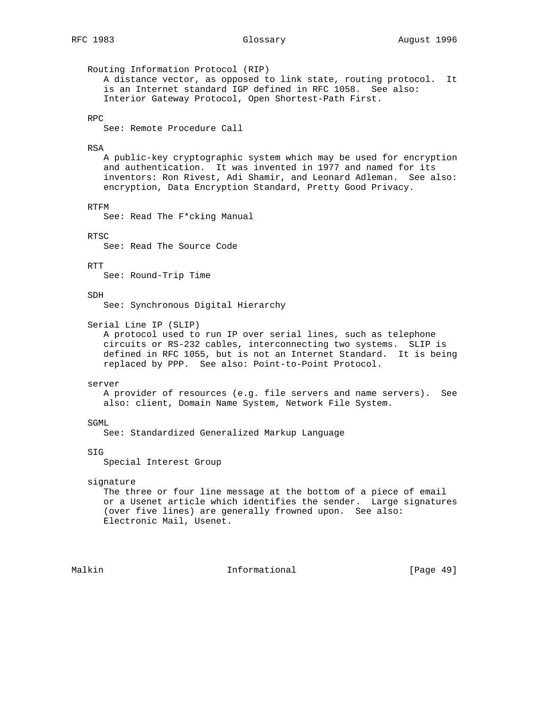Routing Information Protocol (RIP) A distance vector, as opposed to link state, routing protocol. It is an Internet standard IGP defined in RFC 1058. See also: Interior Gateway Protocol, Open Shortest-Path First. RPC See: Remote Procedure Call RSA A public-key cryptographic system which may be used for encryption and authentication. It was invented in 1977 and named for its inventors: Ron Rivest, Adi Shamir, and Leonard Adleman. See also: encryption, Data Encryption Standard, Pretty Good Privacy. RTFM See: Read The F\*cking Manual RTSC See: Read The Source Code RTT. See: Round-Trip Time SDH See: Synchronous Digital Hierarchy Serial Line IP (SLIP) A protocol used to run IP over serial lines, such as telephone circuits or RS-232 cables, interconnecting two systems. SLIP is defined in RFC 1055, but is not an Internet Standard. It is being replaced by PPP. See also: Point-to-Point Protocol. server A provider of resources (e.g. file servers and name servers). See also: client, Domain Name System, Network File System. SGML See: Standardized Generalized Markup Language SIG Special Interest Group signature The three or four line message at the bottom of a piece of email or a Usenet article which identifies the sender. Large signatures (over five lines) are generally frowned upon. See also: Electronic Mail, Usenet.

Malkin **Informational Informational** [Page 49]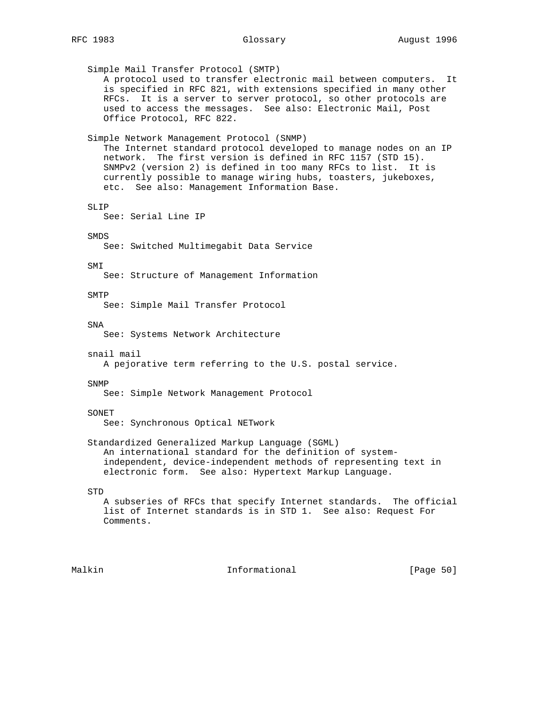Simple Mail Transfer Protocol (SMTP) A protocol used to transfer electronic mail between computers. It is specified in RFC 821, with extensions specified in many other RFCs. It is a server to server protocol, so other protocols are used to access the messages. See also: Electronic Mail, Post Office Protocol, RFC 822. Simple Network Management Protocol (SNMP) The Internet standard protocol developed to manage nodes on an IP network. The first version is defined in RFC 1157 (STD 15). SNMPv2 (version 2) is defined in too many RFCs to list. It is currently possible to manage wiring hubs, toasters, jukeboxes, etc. See also: Management Information Base. SLIP See: Serial Line IP SMDS See: Switched Multimegabit Data Service **SMT**  See: Structure of Management Information SMTP See: Simple Mail Transfer Protocol SNA See: Systems Network Architecture snail mail A pejorative term referring to the U.S. postal service. SNMP See: Simple Network Management Protocol SONET See: Synchronous Optical NETwork Standardized Generalized Markup Language (SGML) An international standard for the definition of system independent, device-independent methods of representing text in electronic form. See also: Hypertext Markup Language. STD A subseries of RFCs that specify Internet standards. The official list of Internet standards is in STD 1. See also: Request For Comments.

Malkin **Informational** Informational **Informational** [Page 50]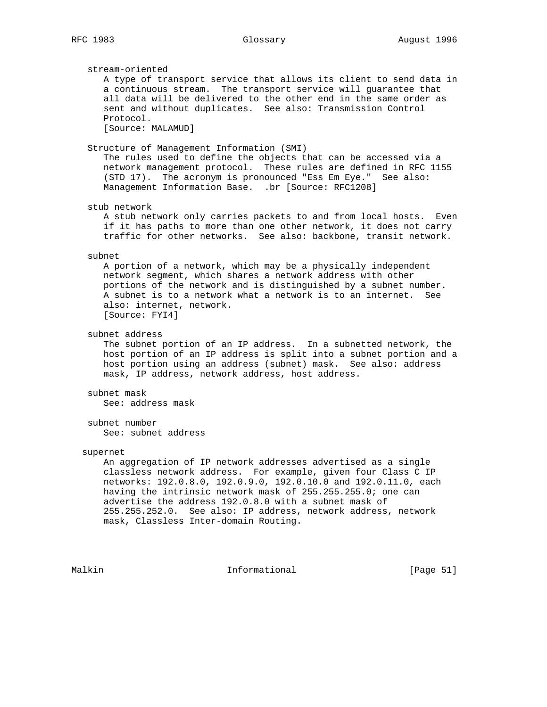stream-oriented A type of transport service that allows its client to send data in a continuous stream. The transport service will guarantee that all data will be delivered to the other end in the same order as sent and without duplicates. See also: Transmission Control Protocol. [Source: MALAMUD] Structure of Management Information (SMI) The rules used to define the objects that can be accessed via a network management protocol. These rules are defined in RFC 1155 (STD 17). The acronym is pronounced "Ess Em Eye." See also: Management Information Base. .br [Source: RFC1208] stub network A stub network only carries packets to and from local hosts. Even if it has paths to more than one other network, it does not carry traffic for other networks. See also: backbone, transit network. subnet A portion of a network, which may be a physically independent network segment, which shares a network address with other portions of the network and is distinguished by a subnet number. A subnet is to a network what a network is to an internet. See also: internet, network. [Source: FYI4] subnet address The subnet portion of an IP address. In a subnetted network, the host portion of an IP address is split into a subnet portion and a host portion using an address (subnet) mask. See also: address mask, IP address, network address, host address. subnet mask See: address mask subnet number See: subnet address supernet An aggregation of IP network addresses advertised as a single classless network address. For example, given four Class C IP networks: 192.0.8.0, 192.0.9.0, 192.0.10.0 and 192.0.11.0, each having the intrinsic network mask of 255.255.255.0; one can advertise the address 192.0.8.0 with a subnet mask of 255.255.252.0. See also: IP address, network address, network mask, Classless Inter-domain Routing. Malkin **Informational Informational** [Page 51]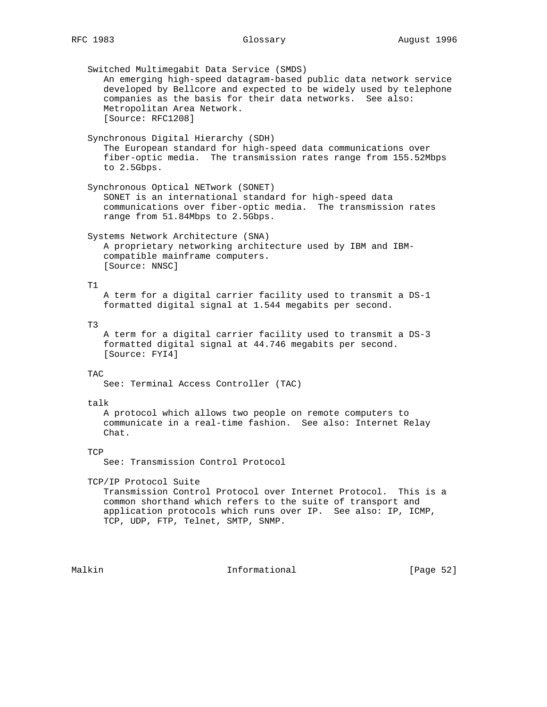Switched Multimegabit Data Service (SMDS) An emerging high-speed datagram-based public data network service developed by Bellcore and expected to be widely used by telephone companies as the basis for their data networks. See also: Metropolitan Area Network. [Source: RFC1208] Synchronous Digital Hierarchy (SDH) The European standard for high-speed data communications over fiber-optic media. The transmission rates range from 155.52Mbps to 2.5Gbps. Synchronous Optical NETwork (SONET) SONET is an international standard for high-speed data communications over fiber-optic media. The transmission rates range from 51.84Mbps to 2.5Gbps. Systems Network Architecture (SNA) A proprietary networking architecture used by IBM and IBM compatible mainframe computers. [Source: NNSC] T1 A term for a digital carrier facility used to transmit a DS-1 formatted digital signal at 1.544 megabits per second. T3 A term for a digital carrier facility used to transmit a DS-3 formatted digital signal at 44.746 megabits per second. [Source: FYI4] TAC See: Terminal Access Controller (TAC) talk A protocol which allows two people on remote computers to communicate in a real-time fashion. See also: Internet Relay Chat. **TCP**  See: Transmission Control Protocol TCP/IP Protocol Suite Transmission Control Protocol over Internet Protocol. This is a common shorthand which refers to the suite of transport and application protocols which runs over IP. See also: IP, ICMP, TCP, UDP, FTP, Telnet, SMTP, SNMP.

Malkin **Informational** Informational [Page 52]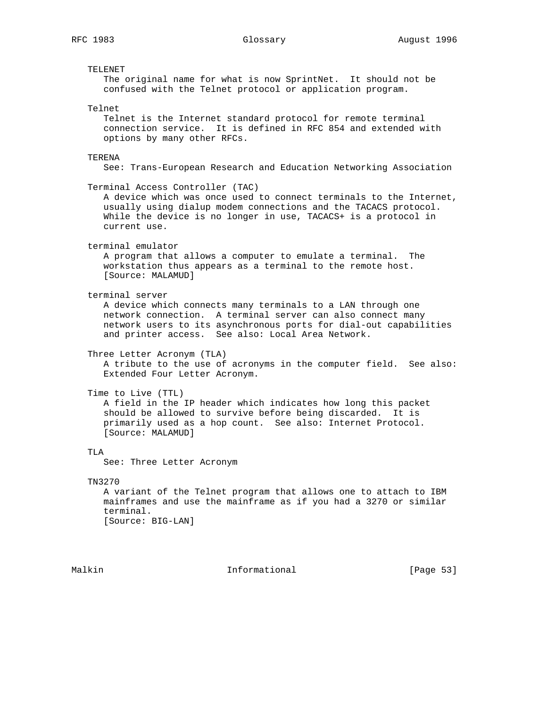# TELENET The original name for what is now SprintNet. It should not be confused with the Telnet protocol or application program. Telnet Telnet is the Internet standard protocol for remote terminal connection service. It is defined in RFC 854 and extended with options by many other RFCs. TERENA See: Trans-European Research and Education Networking Association Terminal Access Controller (TAC) A device which was once used to connect terminals to the Internet, usually using dialup modem connections and the TACACS protocol. While the device is no longer in use, TACACS+ is a protocol in current use. terminal emulator A program that allows a computer to emulate a terminal. The workstation thus appears as a terminal to the remote host. [Source: MALAMUD] terminal server A device which connects many terminals to a LAN through one network connection. A terminal server can also connect many network users to its asynchronous ports for dial-out capabilities and printer access. See also: Local Area Network. Three Letter Acronym (TLA) A tribute to the use of acronyms in the computer field. See also: Extended Four Letter Acronym. Time to Live (TTL) A field in the IP header which indicates how long this packet should be allowed to survive before being discarded. It is primarily used as a hop count. See also: Internet Protocol. [Source: MALAMUD] TT.A See: Three Letter Acronym TN3270 A variant of the Telnet program that allows one to attach to IBM mainframes and use the mainframe as if you had a 3270 or similar terminal. [Source: BIG-LAN]

Malkin **Informational Informational** [Page 53]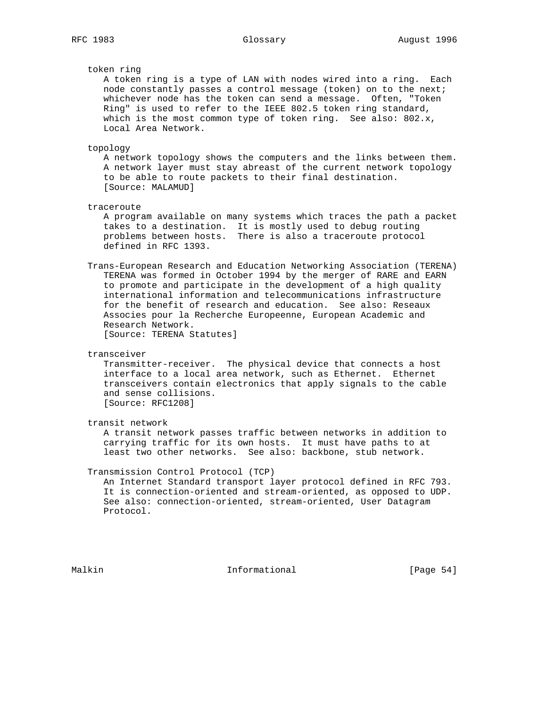#### token ring

 A token ring is a type of LAN with nodes wired into a ring. Each node constantly passes a control message (token) on to the next; whichever node has the token can send a message. Often, "Token Ring" is used to refer to the IEEE 802.5 token ring standard, which is the most common type of token ring. See also: 802.x, Local Area Network.

topology

 A network topology shows the computers and the links between them. A network layer must stay abreast of the current network topology to be able to route packets to their final destination. [Source: MALAMUD]

traceroute

 A program available on many systems which traces the path a packet takes to a destination. It is mostly used to debug routing problems between hosts. There is also a traceroute protocol defined in RFC 1393.

 Trans-European Research and Education Networking Association (TERENA) TERENA was formed in October 1994 by the merger of RARE and EARN to promote and participate in the development of a high quality international information and telecommunications infrastructure for the benefit of research and education. See also: Reseaux Associes pour la Recherche Europeenne, European Academic and Research Network. [Source: TERENA Statutes]

transceiver

 Transmitter-receiver. The physical device that connects a host interface to a local area network, such as Ethernet. Ethernet transceivers contain electronics that apply signals to the cable and sense collisions. [Source: RFC1208]

transit network

 A transit network passes traffic between networks in addition to carrying traffic for its own hosts. It must have paths to at least two other networks. See also: backbone, stub network.

Transmission Control Protocol (TCP)

 An Internet Standard transport layer protocol defined in RFC 793. It is connection-oriented and stream-oriented, as opposed to UDP. See also: connection-oriented, stream-oriented, User Datagram Protocol.

Malkin **Informational Informational** [Page 54]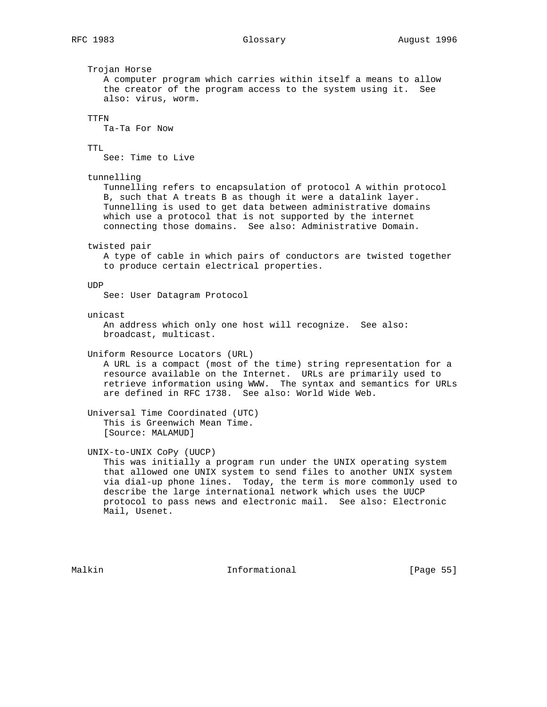Trojan Horse A computer program which carries within itself a means to allow the creator of the program access to the system using it. See also: virus, worm. TTFN Ta-Ta For Now TTL. See: Time to Live tunnelling Tunnelling refers to encapsulation of protocol A within protocol B, such that A treats B as though it were a datalink layer. Tunnelling is used to get data between administrative domains which use a protocol that is not supported by the internet connecting those domains. See also: Administrative Domain. twisted pair A type of cable in which pairs of conductors are twisted together to produce certain electrical properties. UDP See: User Datagram Protocol unicast An address which only one host will recognize. See also: broadcast, multicast. Uniform Resource Locators (URL) A URL is a compact (most of the time) string representation for a resource available on the Internet. URLs are primarily used to retrieve information using WWW. The syntax and semantics for URLs are defined in RFC 1738. See also: World Wide Web. Universal Time Coordinated (UTC) This is Greenwich Mean Time. [Source: MALAMUD] UNIX-to-UNIX CoPy (UUCP) This was initially a program run under the UNIX operating system that allowed one UNIX system to send files to another UNIX system via dial-up phone lines. Today, the term is more commonly used to describe the large international network which uses the UUCP protocol to pass news and electronic mail. See also: Electronic Mail, Usenet.

Malkin **Informational Informational** [Page 55]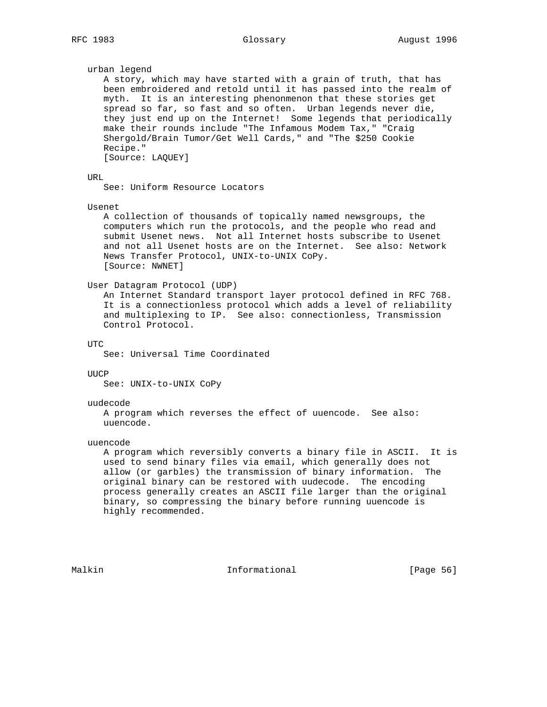```
 urban legend
    A story, which may have started with a grain of truth, that has
    been embroidered and retold until it has passed into the realm of
    myth. It is an interesting phenonmenon that these stories get
    spread so far, so fast and so often. Urban legends never die,
    they just end up on the Internet! Some legends that periodically
    make their rounds include "The Infamous Modem Tax," "Craig
    Shergold/Brain Tumor/Get Well Cards," and "The $250 Cookie
    Recipe."
    [Source: LAQUEY]
 URL
    See: Uniform Resource Locators
 Usenet
    A collection of thousands of topically named newsgroups, the
    computers which run the protocols, and the people who read and
    submit Usenet news. Not all Internet hosts subscribe to Usenet
    and not all Usenet hosts are on the Internet. See also: Network
    News Transfer Protocol, UNIX-to-UNIX CoPy.
    [Source: NWNET]
 User Datagram Protocol (UDP)
    An Internet Standard transport layer protocol defined in RFC 768.
    It is a connectionless protocol which adds a level of reliability
    and multiplexing to IP. See also: connectionless, Transmission
    Control Protocol.
 UTC
    See: Universal Time Coordinated
 UUCP
    See: UNIX-to-UNIX CoPy
 uudecode
    A program which reverses the effect of uuencode. See also:
    uuencode.
 uuencode
    A program which reversibly converts a binary file in ASCII. It is
    used to send binary files via email, which generally does not
    allow (or garbles) the transmission of binary information. The
    original binary can be restored with uudecode. The encoding
    process generally creates an ASCII file larger than the original
    binary, so compressing the binary before running uuencode is
    highly recommended.
```
Malkin **Informational Informational** [Page 56]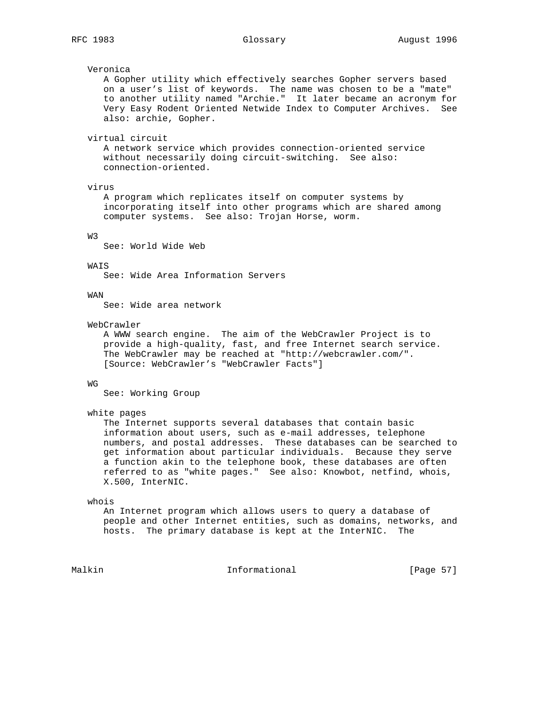## Veronica

 A Gopher utility which effectively searches Gopher servers based on a user's list of keywords. The name was chosen to be a "mate" to another utility named "Archie." It later became an acronym for Very Easy Rodent Oriented Netwide Index to Computer Archives. See also: archie, Gopher.

virtual circuit

 A network service which provides connection-oriented service without necessarily doing circuit-switching. See also: connection-oriented.

# virus

 A program which replicates itself on computer systems by incorporating itself into other programs which are shared among computer systems. See also: Trojan Horse, worm.

#### W3

See: World Wide Web

#### WAIS

See: Wide Area Information Servers

WAN

See: Wide area network

WebCrawler

 A WWW search engine. The aim of the WebCrawler Project is to provide a high-quality, fast, and free Internet search service. The WebCrawler may be reached at "http://webcrawler.com/". [Source: WebCrawler's "WebCrawler Facts"]

#### $WG$

See: Working Group

# white pages

 The Internet supports several databases that contain basic information about users, such as e-mail addresses, telephone numbers, and postal addresses. These databases can be searched to get information about particular individuals. Because they serve a function akin to the telephone book, these databases are often referred to as "white pages." See also: Knowbot, netfind, whois, X.500, InterNIC.

### whois

 An Internet program which allows users to query a database of people and other Internet entities, such as domains, networks, and hosts. The primary database is kept at the InterNIC. The

Malkin **Informational** Informational [Page 57]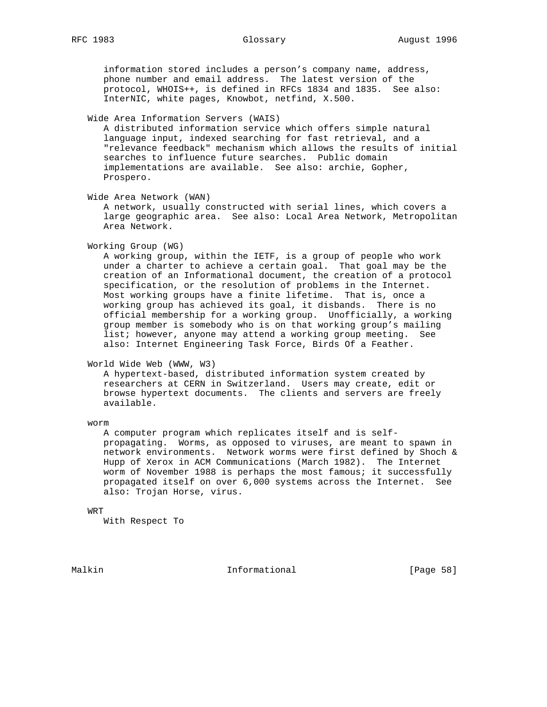# RFC 1983 Glossary Glossary August 1996

 information stored includes a person's company name, address, phone number and email address. The latest version of the protocol, WHOIS++, is defined in RFCs 1834 and 1835. See also: InterNIC, white pages, Knowbot, netfind, X.500.

# Wide Area Information Servers (WAIS)

 A distributed information service which offers simple natural language input, indexed searching for fast retrieval, and a "relevance feedback" mechanism which allows the results of initial searches to influence future searches. Public domain implementations are available. See also: archie, Gopher, Prospero.

Wide Area Network (WAN)

 A network, usually constructed with serial lines, which covers a large geographic area. See also: Local Area Network, Metropolitan Area Network.

Working Group (WG)

 A working group, within the IETF, is a group of people who work under a charter to achieve a certain goal. That goal may be the creation of an Informational document, the creation of a protocol specification, or the resolution of problems in the Internet. Most working groups have a finite lifetime. That is, once a working group has achieved its goal, it disbands. There is no official membership for a working group. Unofficially, a working group member is somebody who is on that working group's mailing list; however, anyone may attend a working group meeting. See also: Internet Engineering Task Force, Birds Of a Feather.

# World Wide Web (WWW, W3)

 A hypertext-based, distributed information system created by researchers at CERN in Switzerland. Users may create, edit or browse hypertext documents. The clients and servers are freely available.

worm

 A computer program which replicates itself and is self propagating. Worms, as opposed to viruses, are meant to spawn in network environments. Network worms were first defined by Shoch & Hupp of Xerox in ACM Communications (March 1982). The Internet worm of November 1988 is perhaps the most famous; it successfully propagated itself on over 6,000 systems across the Internet. See also: Trojan Horse, virus.

WRT

With Respect To

Malkin **Informational Informational** [Page 58]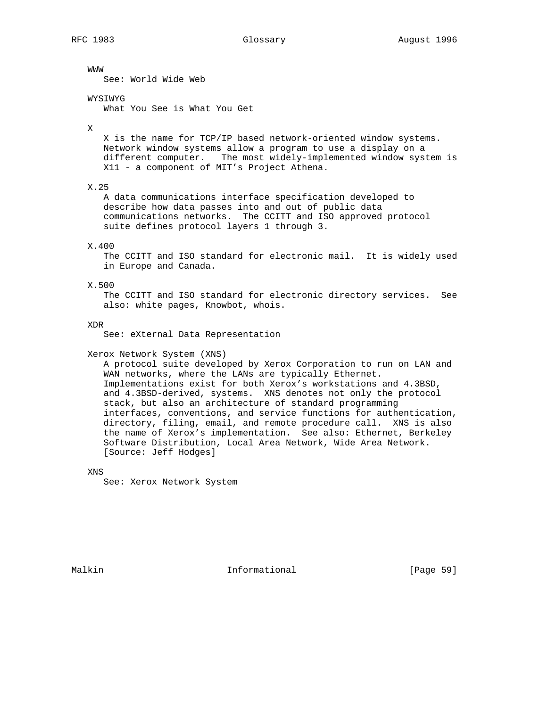WWW

See: World Wide Web

# WYSIWYG

What You See is What You Get

# X

 X is the name for TCP/IP based network-oriented window systems. Network window systems allow a program to use a display on a different computer. The most widely-implemented window system is X11 - a component of MIT's Project Athena.

# X.25

 A data communications interface specification developed to describe how data passes into and out of public data communications networks. The CCITT and ISO approved protocol suite defines protocol layers 1 through 3.

# X.400

 The CCITT and ISO standard for electronic mail. It is widely used in Europe and Canada.

# X.500

 The CCITT and ISO standard for electronic directory services. See also: white pages, Knowbot, whois.

# XDR

See: eXternal Data Representation

# Xerox Network System (XNS)

 A protocol suite developed by Xerox Corporation to run on LAN and WAN networks, where the LANs are typically Ethernet. Implementations exist for both Xerox's workstations and 4.3BSD, and 4.3BSD-derived, systems. XNS denotes not only the protocol stack, but also an architecture of standard programming interfaces, conventions, and service functions for authentication, directory, filing, email, and remote procedure call. XNS is also the name of Xerox's implementation. See also: Ethernet, Berkeley Software Distribution, Local Area Network, Wide Area Network. [Source: Jeff Hodges]

# XNS

See: Xerox Network System

Malkin **Informational Informational** [Page 59]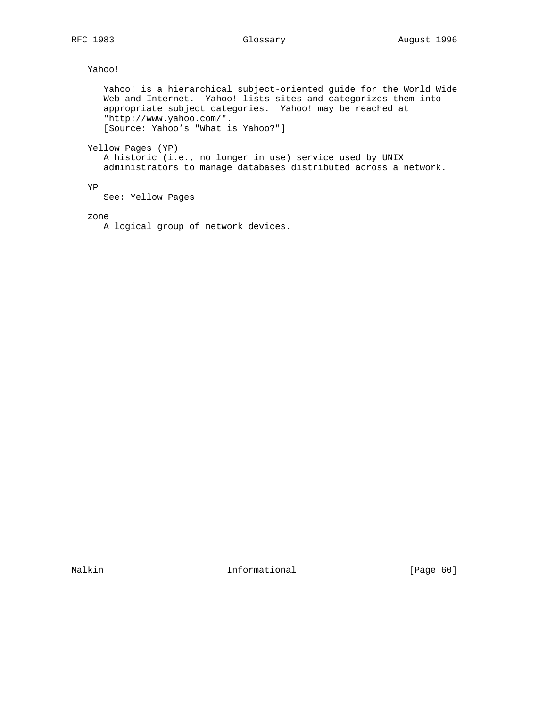Yahoo!

 Yahoo! is a hierarchical subject-oriented guide for the World Wide Web and Internet. Yahoo! lists sites and categorizes them into appropriate subject categories. Yahoo! may be reached at "http://www.yahoo.com/". [Source: Yahoo's "What is Yahoo?"]

Yellow Pages (YP)

 A historic (i.e., no longer in use) service used by UNIX administrators to manage databases distributed across a network.

YP

See: Yellow Pages

zone

A logical group of network devices.

Malkin **Informational Informational** [Page 60]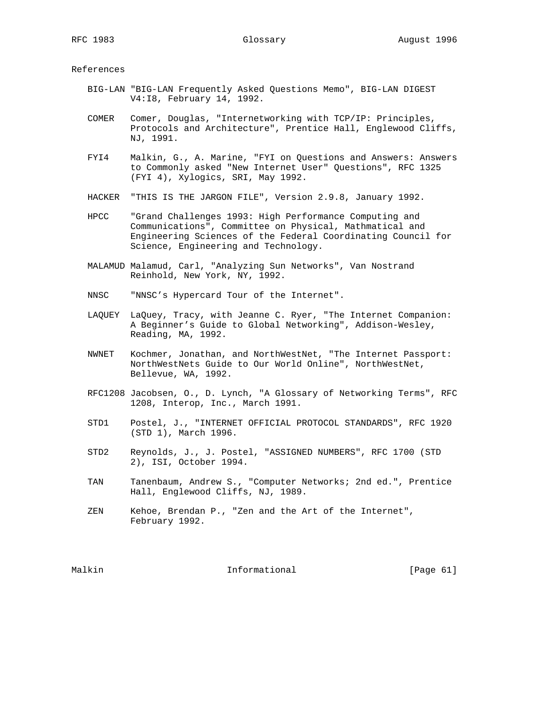# References

- BIG-LAN "BIG-LAN Frequently Asked Questions Memo", BIG-LAN DIGEST V4:I8, February 14, 1992.
- COMER Comer, Douglas, "Internetworking with TCP/IP: Principles, Protocols and Architecture", Prentice Hall, Englewood Cliffs, NJ, 1991.
- FYI4 Malkin, G., A. Marine, "FYI on Questions and Answers: Answers to Commonly asked "New Internet User" Questions", RFC 1325 (FYI 4), Xylogics, SRI, May 1992.
- HACKER "THIS IS THE JARGON FILE", Version 2.9.8, January 1992.
- HPCC "Grand Challenges 1993: High Performance Computing and Communications", Committee on Physical, Mathmatical and Engineering Sciences of the Federal Coordinating Council for Science, Engineering and Technology.
- MALAMUD Malamud, Carl, "Analyzing Sun Networks", Van Nostrand Reinhold, New York, NY, 1992.
- NNSC "NNSC's Hypercard Tour of the Internet".
- LAQUEY LaQuey, Tracy, with Jeanne C. Ryer, "The Internet Companion: A Beginner's Guide to Global Networking", Addison-Wesley, Reading, MA, 1992.
- NWNET Kochmer, Jonathan, and NorthWestNet, "The Internet Passport: NorthWestNets Guide to Our World Online", NorthWestNet, Bellevue, WA, 1992.
- RFC1208 Jacobsen, O., D. Lynch, "A Glossary of Networking Terms", RFC 1208, Interop, Inc., March 1991.
- STD1 Postel, J., "INTERNET OFFICIAL PROTOCOL STANDARDS", RFC 1920 (STD 1), March 1996.
- STD2 Reynolds, J., J. Postel, "ASSIGNED NUMBERS", RFC 1700 (STD 2), ISI, October 1994.
- TAN Tanenbaum, Andrew S., "Computer Networks; 2nd ed.", Prentice Hall, Englewood Cliffs, NJ, 1989.
- ZEN Kehoe, Brendan P., "Zen and the Art of the Internet", February 1992.

Malkin **Informational** Informational [Page 61]